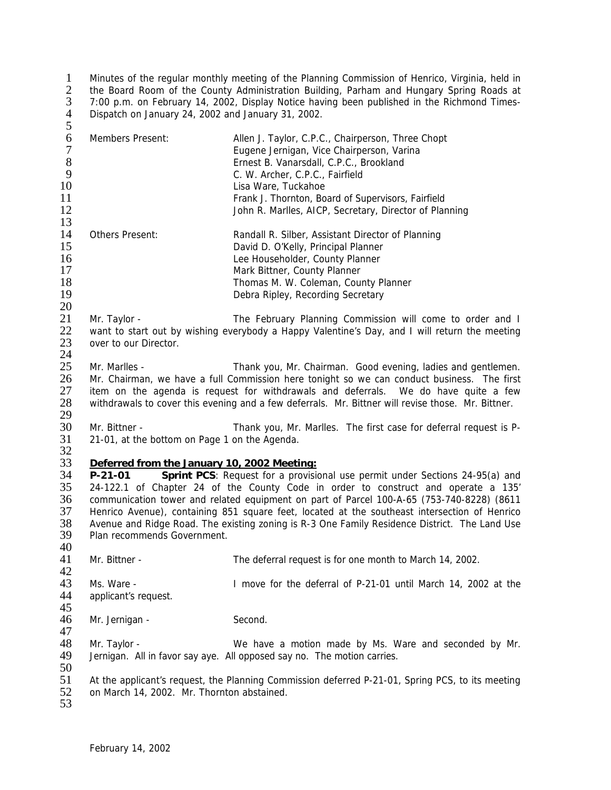1 Minutes of the regular monthly meeting of the Planning Commission of Henrico, Virginia, held in 2 the Board Room of the County Administration Building, Parham and Hungary Spring Roads at 3 7:00 p.m. on February 14, 2002, Display Notice having been published in the Richmond Times-4 Dispatch on January 24, 2002 and January 31, 2002.  $\frac{1}{2}$ <br> $\frac{3}{4}$ <br>5

| 6<br>$\overline{7}$<br>$8\,$ | Members Present:                                                                                 | Allen J. Taylor, C.P.C., Chairperson, Three Chopt<br>Eugene Jernigan, Vice Chairperson, Varina<br>Ernest B. Vanarsdall, C.P.C., Brookland |  |
|------------------------------|--------------------------------------------------------------------------------------------------|-------------------------------------------------------------------------------------------------------------------------------------------|--|
| 9                            |                                                                                                  | C. W. Archer, C.P.C., Fairfield                                                                                                           |  |
| 10                           |                                                                                                  | Lisa Ware, Tuckahoe                                                                                                                       |  |
| 11                           |                                                                                                  | Frank J. Thornton, Board of Supervisors, Fairfield                                                                                        |  |
| 12                           |                                                                                                  | John R. Marlles, AICP, Secretary, Director of Planning                                                                                    |  |
| 13                           |                                                                                                  |                                                                                                                                           |  |
| 14                           | Others Present:                                                                                  | Randall R. Silber, Assistant Director of Planning                                                                                         |  |
| 15                           |                                                                                                  | David D. O'Kelly, Principal Planner                                                                                                       |  |
| 16                           |                                                                                                  | Lee Householder, County Planner                                                                                                           |  |
| 17                           |                                                                                                  | Mark Bittner, County Planner                                                                                                              |  |
| 18                           |                                                                                                  | Thomas M. W. Coleman, County Planner                                                                                                      |  |
| 19                           |                                                                                                  | Debra Ripley, Recording Secretary                                                                                                         |  |
| 20                           |                                                                                                  |                                                                                                                                           |  |
| 21                           | Mr. Taylor -                                                                                     | The February Planning Commission will come to order and I                                                                                 |  |
| 22                           |                                                                                                  | want to start out by wishing everybody a Happy Valentine's Day, and I will return the meeting                                             |  |
| 23                           | over to our Director.                                                                            |                                                                                                                                           |  |
| 24                           |                                                                                                  |                                                                                                                                           |  |
| 25                           | Mr. Marlles -                                                                                    | Thank you, Mr. Chairman. Good evening, ladies and gentlemen.                                                                              |  |
| 26                           |                                                                                                  | Mr. Chairman, we have a full Commission here tonight so we can conduct business. The first                                                |  |
| 27                           |                                                                                                  | item on the agenda is request for withdrawals and deferrals. We do have quite a few                                                       |  |
| 28                           |                                                                                                  | withdrawals to cover this evening and a few deferrals. Mr. Bittner will revise those. Mr. Bittner.                                        |  |
| 29                           |                                                                                                  |                                                                                                                                           |  |
| 30                           | Mr. Bittner -                                                                                    | Thank you, Mr. Marlles. The first case for deferral request is P-                                                                         |  |
| 31<br>32                     | 21-01, at the bottom on Page 1 on the Agenda.                                                    |                                                                                                                                           |  |
| 33                           | Deferred from the January 10, 2002 Meeting:                                                      |                                                                                                                                           |  |
| 34                           | $P-21-01$                                                                                        | Sprint PCS: Request for a provisional use permit under Sections 24-95(a) and                                                              |  |
| 35                           |                                                                                                  | 24-122.1 of Chapter 24 of the County Code in order to construct and operate a 135'                                                        |  |
| 36                           |                                                                                                  | communication tower and related equipment on part of Parcel 100-A-65 (753-740-8228) (8611                                                 |  |
| 37                           |                                                                                                  | Henrico Avenue), containing 851 square feet, located at the southeast intersection of Henrico                                             |  |
| 38                           |                                                                                                  | Avenue and Ridge Road. The existing zoning is R-3 One Family Residence District. The Land Use                                             |  |
| 39                           | Plan recommends Government.                                                                      |                                                                                                                                           |  |
| 40                           |                                                                                                  |                                                                                                                                           |  |
| 41                           | Mr. Bittner -                                                                                    | The deferral request is for one month to March 14, 2002.                                                                                  |  |
| 42                           |                                                                                                  |                                                                                                                                           |  |
| 43                           | Ms. Ware -                                                                                       | I move for the deferral of P-21-01 until March 14, 2002 at the                                                                            |  |
| 44                           | applicant's request.                                                                             |                                                                                                                                           |  |
| 45                           |                                                                                                  |                                                                                                                                           |  |
| 46                           | Mr. Jernigan -                                                                                   | Second.                                                                                                                                   |  |
| 47                           |                                                                                                  |                                                                                                                                           |  |
| 48                           | Mr. Taylor -                                                                                     | We have a motion made by Ms. Ware and seconded by Mr.                                                                                     |  |
| 49                           |                                                                                                  | Jernigan. All in favor say aye. All opposed say no. The motion carries.                                                                   |  |
| 50                           |                                                                                                  |                                                                                                                                           |  |
| 51                           | At the applicant's request, the Planning Commission deferred P-21-01, Spring PCS, to its meeting |                                                                                                                                           |  |
| 52                           | on March 14, 2002. Mr. Thornton abstained.                                                       |                                                                                                                                           |  |
| 53                           |                                                                                                  |                                                                                                                                           |  |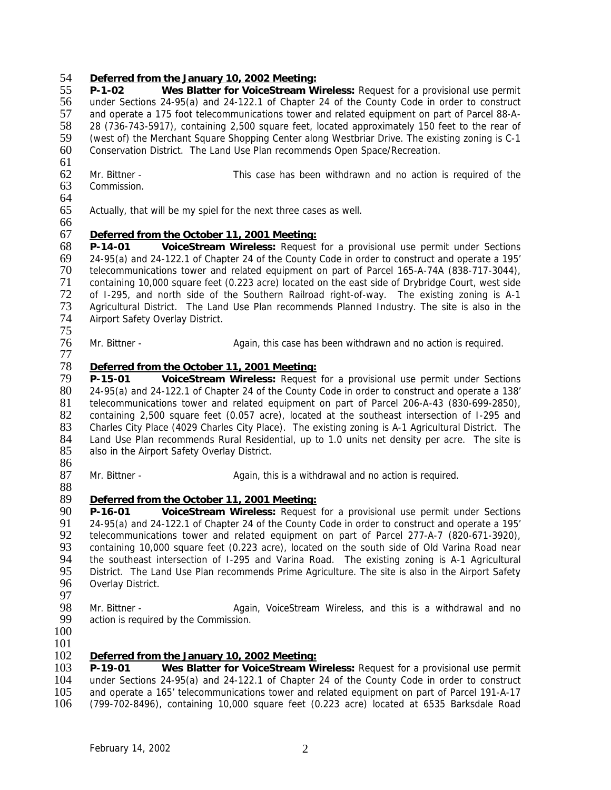## 54 *Deferred from the January 10, 2002 Meeting:*

55 **P-1-02 Wes Blatter for VoiceStream Wireless:** Request for a provisional use permit under Sections 24-95(a) and 24-122.1 of Chapter 24 of the County Code in order to construct 57 and operate a 175 foot telecommunications tower and related equipment on part of Parcel 88-A-<br>58 28 (736-743-5917), containing 2,500 square feet, located approximately 150 feet to the rear of 58 28 (736-743-5917), containing 2,500 square feet, located approximately 150 feet to the rear of 59 (west of) the Merchant Square Shopping Center along Westbriar Drive. The existing zoning is C-1 60 Conservation District. The Land Use Plan recommends Open Space/Recreation. 61

- 62 Mr. Bittner This case has been withdrawn and no action is required of the 63 Commission.
- Commission.

66

77

64<br>65 Actually, that will be my spiel for the next three cases as well.

# 67 *Deferred from the October 11, 2001 Meeting:*

68 **P-14-01 VoiceStream Wireless:** Request for a provisional use permit under Sections 69 24-95(a) and 24-122.1 of Chapter 24 of the County Code in order to construct and operate a 195' 70 telecommunications tower and related equipment on part of Parcel 165-A-74A (838-717-3044), 71 containing 10,000 square feet (0.223 acre) located on the east side of Drybridge Court, west side<br>72 of 1-295, and north side of the Southern Railroad right-of-way. The existing zoning is A-1 72 of I-295, and north side of the Southern Railroad right-of-way. The existing zoning is A-1<br>73 Agricultural District. The Land Use Plan recommends Planned Industry. The site is also in the 73 Agricultural District. The Land Use Plan recommends Planned Industry. The site is also in the 74 Airport Safety Overlay District. Airport Safety Overlay District.

75<br>76 Mr. Bittner - This again, this case has been withdrawn and no action is required.

# 78 *Deferred from the October 11, 2001 Meeting:*

P-15-01 **VoiceStream Wireless:** Request for a provisional use permit under Sections 80 24-95(a) and 24-122.1 of Chapter 24 of the County Code in order to construct and operate a 138' 81 telecommunications tower and related equipment on part of Parcel 206-A-43 (830-699-2850), 82 containing 2,500 square feet (0.057 acre), located at the southeast intersection of I-295 and 83 Charles City Place (4029 Charles City Place). The existing zoning is A-1 Agricultural District. The 84 Land Use Plan recommends Rural Residential. up to 1.0 units net density per acre. The site is 84 Land Use Plan recommends Rural Residential, up to 1.0 units net density per acre. The site is 85 also in the Airport Safety Overlay District. also in the Airport Safety Overlay District.

86<br>87 Mr. Bittner - Again, this is a withdrawal and no action is required.

#### 88<br>89 89 *Deferred from the October 11, 2001 Meeting:*

90 **P-16-01 VoiceStream Wireless:** Request for a provisional use permit under Sections 91 24-95(a) and 24-122.1 of Chapter 24 of the County Code in order to construct and operate a 195' 92 telecommunications tower and related equipment on part of Parcel 277-A-7 (820-671-3920),<br>93 containing 10.000 square feet (0.223 acre), located on the south side of Old Varina Road near 93 containing 10,000 square feet (0.223 acre), located on the south side of Old Varina Road near<br>94 the southeast intersection of I-295 and Varina Road. The existing zoning is A-1 Agricultural 94 the southeast intersection of I-295 and Varina Road. The existing zoning is A-1 Agricultural<br>95 District. The Land Use Plan recommends Prime Agriculture. The site is also in the Airport Safety 95 District. The Land Use Plan recommends Prime Agriculture. The site is also in the Airport Safety<br>96 Overlav District. Overlay District.

- 97<br>98
- 
- 98 Mr. Bittner **Again, VoiceStream Wireless, and this is a withdrawal and no**<br>99 action is required by the Commission. action is required by the Commission.
- 100 101

#### 102 *Deferred from the January 10, 2002 Meeting:*

 **P-19-01 Wes Blatter for VoiceStream Wireless:** Request for a provisional use permit 104 under Sections 24-95(a) and 24-122.1 of Chapter 24 of the County Code in order to construct<br>105 and operate a 165' telecommunications tower and related equipment on part of Parcel 191-A-17 and operate a 165' telecommunications tower and related equipment on part of Parcel 191-A-17 (799-702-8496), containing 10,000 square feet (0.223 acre) located at 6535 Barksdale Road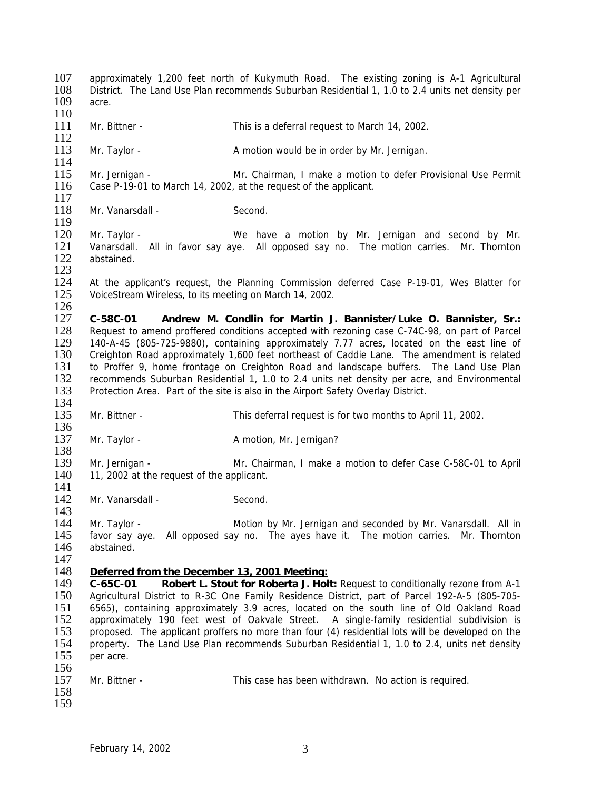107 approximately 1,200 feet north of Kukymuth Road. The existing zoning is A-1 Agricultural 108 District The Land Use Plan recommends Suburban Residential 1 1.0 to 2.4 units net density per 108 District. The Land Use Plan recommends Suburban Residential 1, 1.0 to 2.4 units net density per 109 acre. acre  $\frac{110}{111}$ Mr. Bittner - This is a deferral request to March 14, 2002. 112

113 Mr. Taylor - A motion would be in order by Mr. Jernigan.

 $\frac{114}{115}$ 115 Mr. Jernigan - Mr. Chairman, I make a motion to defer Provisional Use Permit 116 Case P-19-01 to March 14, 2002, at the request of the applicant. Case P-19-01 to March 14, 2002, at the request of the applicant.

 $\frac{117}{118}$ Mr. Vanarsdall - Second.

120 Mr. Taylor - We have a motion by Mr. Jernigan and second by Mr.<br>121 Vanarsdall. All in favor say aye. All opposed say no. The motion carries. Mr. Thornton 121 Vanarsdall. All in favor say aye. All opposed say no. The motion carries. Mr. Thornton 122 abstained. abstained. 123

124 At the applicant's request, the Planning Commission deferred Case P-19-01, Wes Blatter for 125 VoiceStream Wireless, to its meeting on March 14, 2002. VoiceStream Wireless, to its meeting on March 14, 2002.

 $\frac{126}{127}$ 127 **C-58C-01 Andrew M. Condlin for Martin J. Bannister/Luke O. Bannister, Sr.:** 128 Request to amend proffered conditions accepted with rezoning case C-74C-98, on part of Parcel<br>129 140-A-45 (805-725-9880), containing approximately 7.77 acres, located on the east line of 129 140-A-45 (805-725-9880), containing approximately 7.77 acres, located on the east line of 130 Creighton Road approximately 1.600 feet northeast of Caddie Lane. The amendment is related 130 Creighton Road approximately 1,600 feet northeast of Caddie Lane. The amendment is related 131 to Proffer 9, home frontage on Creighton Road and landscape buffers. The Land Use Plan<br>132 recommends Suburban Residential 1, 1.0 to 2.4 units net density per acre, and Environmental 132 recommends Suburban Residential 1, 1.0 to 2.4 units net density per acre, and Environmental 133 Protection Area. Part of the site is also in the Airport Safety Overlay District. Protection Area. Part of the site is also in the Airport Safety Overlay District. 134

- 135 Mr. Bittner This deferral request is for two months to April 11, 2002.
- 136<br>137 Mr. Taylor - Amotion, Mr. Jernigan?

138<br>139 139 Mr. Jernigan - Mr. Chairman, I make a motion to defer Case C-58C-01 to April 140 11. 2002 at the request of the applicant. 11, 2002 at the request of the applicant.

 $\frac{141}{142}$ Mr. Vanarsdall - Second.

143<br>144 Mr. Taylor - Motion by Mr. Jernigan and seconded by Mr. Vanarsdall. All in favor say aye. All opposed say no. The ayes have it. The motion carries. Mr. Thornton abstained.

 $\frac{147}{148}$ 

119

## 148 *Deferred from the December 13, 2001 Meeting:*

 **C-65C-01 Robert L. Stout for Roberta J. Holt:** Request to conditionally rezone from A-1 Agricultural District to R-3C One Family Residence District, part of Parcel 192-A-5 (805-705- 6565), containing approximately 3.9 acres, located on the south line of Old Oakland Road 152 approximately 190 feet west of Oakvale Street. A single-family residential subdivision is 153 proposed. The applicant proffers no more than four (4) residential lots will be developed on the proposed. The applicant proffers no more than four (4) residential lots will be developed on the property. The Land Use Plan recommends Suburban Residential 1, 1.0 to 2.4, units net density per acre. 156

| 157<br>Mr. Bittner -<br>This case has been withdrawn. No action is required. |  |
|------------------------------------------------------------------------------|--|
|------------------------------------------------------------------------------|--|

158 159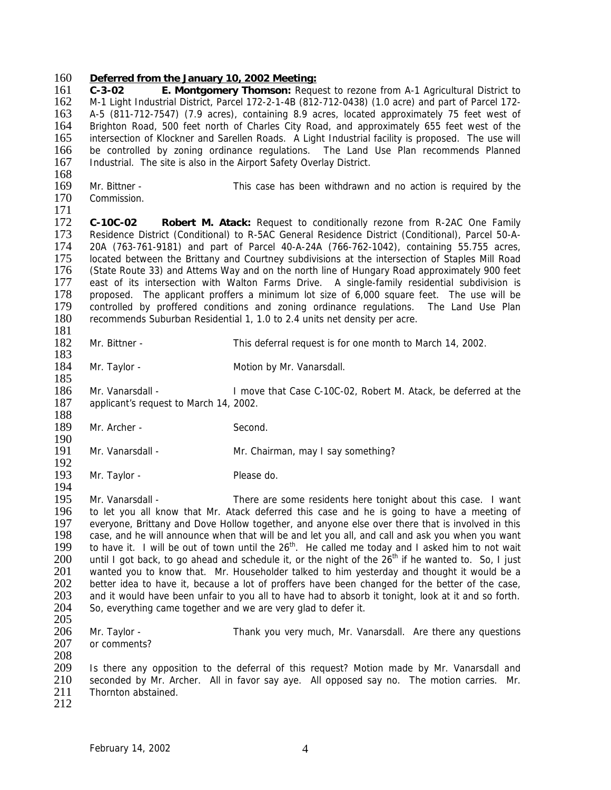#### 160 *Deferred from the January 10, 2002 Meeting:*

 **C-3-02 E. Montgomery Thomson:** Request to rezone from A-1 Agricultural District to M-1 Light Industrial District, Parcel 172-2-1-4B (812-712-0438) (1.0 acre) and part of Parcel 172- A-5 (811-712-7547) (7.9 acres), containing 8.9 acres, located approximately 75 feet west of Brighton Road, 500 feet north of Charles City Road, and approximately 655 feet west of the intersection of Klockner and Sarellen Roads. A Light Industrial facility is proposed. The use will 166 be controlled by zoning ordinance regulations. The Land Use Plan recommends Planned<br>167 Industrial. The site is also in the Airport Safety Overlay District. Industrial. The site is also in the Airport Safety Overlay District.

- $\frac{168}{169}$ 169 Mr. Bittner - This case has been withdrawn and no action is required by the 170 Commission. Commission.
- 

 $\frac{171}{172}$ 172 **C-10C-02 Robert M. Atack:** Request to conditionally rezone from R-2AC One Family 173 Residence District (Conditional) to R-5AC General Residence District (Conditional), Parcel 50-A-174 20A (763-761-9181) and part of Parcel 40-A-24A (766-762-1042), containing 55.755 acres, 175 located between the Brittany and Courtney subdivisions at the intersection of Staples Mill Road 176 (State Route 33) and Attems Way and on the north line of Hungary Road approximately 900 feet 177 east of its intersection with Walton Farms Drive. A single-family residential subdivision is<br>178 proposed. The applicant proffers a minimum lot size of 6.000 square feet. The use will be 178 proposed. The applicant proffers a minimum lot size of 6,000 square feet. The use will be 179 controlled by proffered conditions and zoning ordinance regulations. The Land Use Plan 179 controlled by proffered conditions and zoning ordinance regulations. The Land Use Plan 180 recommends Suburban Residential 1, 1.0 to 2.4 units net density per acre. recommends Suburban Residential 1, 1.0 to 2.4 units net density per acre.

- $\frac{181}{182}$ 182 Mr. Bittner - This deferral request is for one month to March 14, 2002. 183
- 184 Mr. Taylor Motion by Mr. Vanarsdall. 185
- 186 Mr. Vanarsdall I move that Case C-10C-02, Robert M. Atack, be deferred at the 187 applicant's request to March 14, 2002. 188
- 189 Mr. Archer Second.
- $\frac{190}{191}$ Mr. Vanarsdall - Mr. Chairman, may I say something?
- $\frac{192}{193}$ Mr. Taylor - Please do.

194<br>195 Mr. Vanarsdall - There are some residents here tonight about this case. I want 196 to let you all know that Mr. Atack deferred this case and he is going to have a meeting of 197 evervone. Brittany and Dove Hollow together, and anyone else over there that is involved in this everyone, Brittany and Dove Hollow together, and anyone else over there that is involved in this 198 case, and he will announce when that will be and let you all, and call and ask you when you want  $199$  to have it. I will be out of town until the  $26<sup>th</sup>$ . He called me todav and I asked him to not wait to have it. I will be out of town until the  $26^{th}$ . He called me today and I asked him to not wait  $200$  until I got back, to go ahead and schedule it, or the night of the  $26^{th}$  if he wanted to. So, I just 200 until I got back, to go ahead and schedule it, or the night of the  $26^{th}$  if he wanted to. So, I just  $201$  wanted vou to know that. Mr. Householder talked to him vesterday and thought it would be a 201 wanted you to know that. Mr. Householder talked to him yesterday and thought it would be a<br>202 better idea to have it, because a lot of proffers have been changed for the better of the case. 202 better idea to have it, because a lot of proffers have been changed for the better of the case,<br>203 and it would have been unfair to vou all to have had to absorb it tonight, look at it and so forth. 203 and it would have been unfair to you all to have had to absorb it tonight, look at it and so forth.<br>204 So, everything came together and we are very glad to defer it. So, everything came together and we are very glad to defer it.

205 Mr. Taylor - Thank you very much, Mr. Vanarsdall. Are there any questions 207 or comments?

209 Is there any opposition to the deferral of this request? Motion made by Mr. Vanarsdall and 210 seconded by Mr. Archer. All in favor say ave. All opposed say no. The motion carries. Mr. 210 seconded by Mr. Archer. All in favor say aye. All opposed say no. The motion carries. Mr.<br>211 Thornton abstained. Thornton abstained.

212

208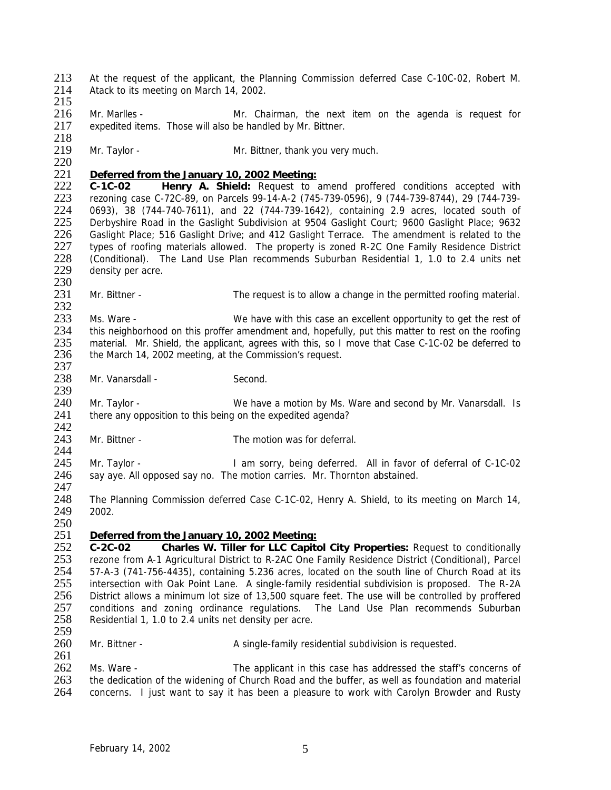213 At the request of the applicant, the Planning Commission deferred Case C-10C-02, Robert M.<br>214 Atack to its meeting on March 14, 2002 Atack to its meeting on March 14, 2002. 215

- 216 Mr. Marlles Mr. Chairman, the next item on the agenda is request for expedited items. Those will also be handled by Mr. Bittner. expedited items. Those will also be handled by Mr. Bittner.
- 218<br>219 Mr. Taylor - Mr. Bittner, thank you very much.
- $\frac{220}{221}$

### 221 *Deferred from the January 10, 2002 Meeting:*

222 **C-1C-02 Henry A. Shield:** Request to amend proffered conditions accepted with 223 rezoning case C-72C-89, on Parcels 99-14-A-2 (745-739-0596), 9 (744-739-8744), 29 (744-739- 224 0693), 38 (744-740-7611), and 22 (744-739-1642), containing 2.9 acres, located south of 225 Derbyshire Road in the Gaslight Subdivision at 9504 Gaslight Court; 9600 Gaslight Place; 9632 225 Derbyshire Road in the Gaslight Subdivision at 9504 Gaslight Court; 9600 Gaslight Place; 9632 226 Gaslight Place; 516 Gaslight Drive; and 412 Gaslight Terrace. The amendment is related to the 227 types of roofing materials allowed. The property is zoned R-2C One Family Residence District 227 types of roofing materials allowed. The property is zoned R-2C One Family Residence District<br>228 (Conditional). The Land Use Plan recommends Suburban Residential 1, 1.0 to 2.4 units net 228 (Conditional). The Land Use Plan recommends Suburban Residential 1, 1.0 to 2.4 units net 229 density per acre. density per acre.

 $\frac{230}{231}$ Mr. Bittner - The request is to allow a change in the permitted roofing material.

 $\frac{232}{233}$ 233 Ms. Ware - We have with this case an excellent opportunity to get the rest of 234 this neighborhood on this proffer amendment and, hopefully, put this matter to rest on the roofing 234 this neighborhood on this proffer amendment and, hopefully, put this matter to rest on the roofing<br>235 material. Mr. Shield, the applicant, agrees with this, so I move that Case C-1C-02 be deferred to 235 material. Mr. Shield, the applicant, agrees with this, so I move that Case C-1C-02 be deferred to 236 the March 14, 2002 meeting, at the Commission's request. the March 14, 2002 meeting, at the Commission's request.

- 237<br>238 Mr. Vanarsdall - Second. 239
- 240 Mr. Taylor We have a motion by Ms. Ware and second by Mr. Vanarsdall. Is 241 there any opposition to this being on the expedited agenda?
- $\frac{242}{243}$ Mr. Bittner - The motion was for deferral.

 $\frac{244}{245}$ 245 Mr. Taylor - I am sorry, being deferred. All in favor of deferral of C-1C-02<br>246 say aye. All opposed say no. The motion carries. Mr. Thornton abstained. say aye. All opposed say no. The motion carries. Mr. Thornton abstained.

- 247<br>248 248 The Planning Commission deferred Case C-1C-02, Henry A. Shield, to its meeting on March 14, 249 2002. 2002.
- 250

# 251 *Deferred from the January 10, 2002 Meeting:*

252 **C-2C-02 Charles W. Tiller for LLC Capitol City Properties:** Request to conditionally 253 rezone from A-1 Agricultural District to R-2AC One Family Residence District (Conditional), Parcel 254 57-A-3 (741-756-4435), containing 5.236 acres, located on the south line of Church Road at its 255 intersection with Oak Point Lane. A single-family residential subdivision is proposed. The R-2A<br>256 District allows a minimum lot size of 13.500 square feet. The use will be controlled by proffered 256 District allows a minimum lot size of 13,500 square feet. The use will be controlled by proffered<br>257 conditions and zoning ordinance regulations. The Land Use Plan recommends Suburban 257 conditions and zoning ordinance regulations. The Land Use Plan recommends Suburban<br>258 Residential 1, 1.0 to 2.4 units net density per acre. Residential 1, 1.0 to 2.4 units net density per acre. 259

260 Mr. Bittner - A single-family residential subdivision is requested. 261

262 Ms. Ware - The applicant in this case has addressed the staff's concerns of 263 the dedication of the widening of Church Road and the buffer, as well as foundation and material 263 the dedication of the widening of Church Road and the buffer, as well as foundation and material 264 concerns. I just want to say it has been a pleasure to work with Carolyn Browder and Rusty concerns. I just want to say it has been a pleasure to work with Carolyn Browder and Rusty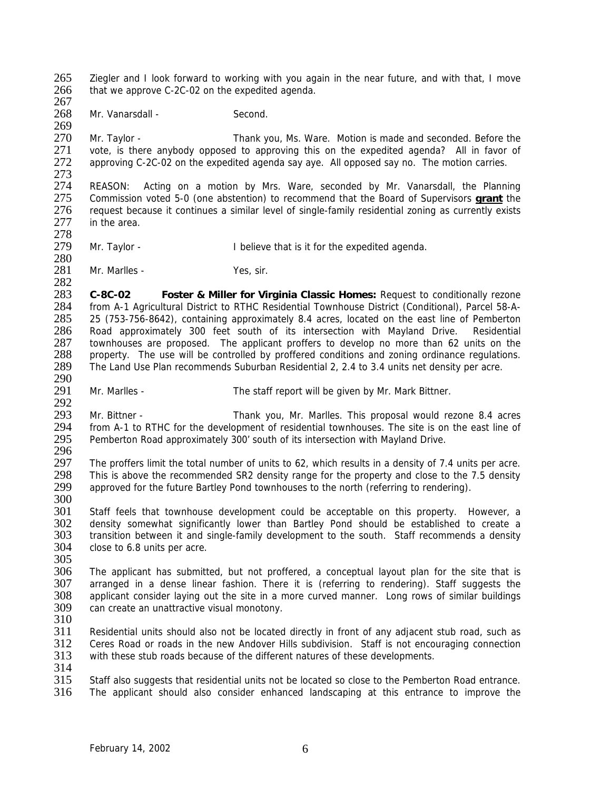265 Ziegler and I look forward to working with you again in the near future, and with that, I move 266 that we approve C-2C-02 on the expedited agenda that we approve C-2C-02 on the expedited agenda. 267

268 Mr. Vanarsdall - Second.

269<br>270 Mr. Taylor - Thank you, Ms. Ware. Motion is made and seconded. Before the 271 vote, is there anybody opposed to approving this on the expedited agenda? All in favor of 272 approving C-2C-02 on the expedited agenda saving and photosed saving. The motion carries. approving C-2C-02 on the expedited agenda say aye. All opposed say no. The motion carries.

273<br>274 274 REASON: Acting on a motion by Mrs. Ware, seconded by Mr. Vanarsdall, the Planning<br>275 Commission voted 5-0 (one abstention) to recommend that the Board of Supervisors **grant** the 275 Commission voted 5-0 (one abstention) to recommend that the Board of Supervisors **grant** the 276 request because it continues a similar level of single-family residential zoning as currently exists 277 in the area. in the area.

278<br>279

280

Mr. Taylor - **I** believe that is it for the expedited agenda.

281 Mr. Marlles - Yes, sir.

 $\frac{282}{283}$ 283 **C-8C-02 Foster & Miller for Virginia Classic Homes:** Request to conditionally rezone 284 from A-1 Agricultural District to RTHC Residential Townhouse District (Conditional), Parcel 58-A-<br>285 25 (753-756-8642), containing approximately 8.4 acres, located on the east line of Pemberton 285 25 (753-756-8642), containing approximately 8.4 acres, located on the east line of Pemberton 286 Road approximately 300 feet south of its intersection with Mayland Drive. Residential<br>287 townhouses are proposed. The applicant proffers to develop no more than 62 units on the 287 townhouses are proposed. The applicant proffers to develop no more than 62 units on the 288 property. The use will be controlled by proffered conditions and zoning ordinance regulations. property. The use will be controlled by proffered conditions and zoning ordinance regulations. 289 The Land Use Plan recommends Suburban Residential 2, 2.4 to 3.4 units net density per acre.

290<br>291 Mr. Marlles - The staff report will be given by Mr. Mark Bittner.

292<br>293 293 Mr. Bittner - Thank you, Mr. Marlles. This proposal would rezone 8.4 acres<br>294 from A-1 to RTHC for the development of residential townhouses. The site is on the east line of 294 from A-1 to RTHC for the development of residential townhouses. The site is on the east line of 295 Pemberton Road approximately 300' south of its intersection with Mayland Drive. Pemberton Road approximately 300' south of its intersection with Mayland Drive.

296<br>297 297 The proffers limit the total number of units to 62, which results in a density of 7.4 units per acre.<br>298 This is above the recommended SR2 density range for the property and close to the 7.5 density 298 This is above the recommended SR2 density range for the property and close to the 7.5 density approved for the future Bartley Pond townhouses to the north (referring to rendering). approved for the future Bartley Pond townhouses to the north (referring to rendering).

300<br>301

301 Staff feels that townhouse development could be acceptable on this property. However, a<br>302 density somewhat significantly lower than Bartley Pond should be established to create a density somewhat significantly lower than Bartley Pond should be established to create a 303 transition between it and single-family development to the south. Staff recommends a density 304 close to 6.8 units per acre.

305<br>306 306 The applicant has submitted, but not proffered, a conceptual layout plan for the site that is 307 arranged in a dense linear fashion. There it is (referring to rendering). Staff suggests the 307 arranged in a dense linear fashion. There it is (referring to rendering). Staff suggests the 308 applicant consider laving out the site in a more curved manner. Long rows of similar buildings 308 applicant consider laying out the site in a more curved manner. Long rows of similar buildings 309 can create an unattractive visual monotony. can create an unattractive visual monotony.

 $\frac{310}{311}$ 

Residential units should also not be located directly in front of any adjacent stub road, such as 312 Ceres Road or roads in the new Andover Hills subdivision. Staff is not encouraging connection 313 with these stub roads because of the different natures of these developments.

 $\frac{314}{315}$ 

315 Staff also suggests that residential units not be located so close to the Pemberton Road entrance.<br>316 The applicant should also consider enhanced landscaping at this entrance to improve the The applicant should also consider enhanced landscaping at this entrance to improve the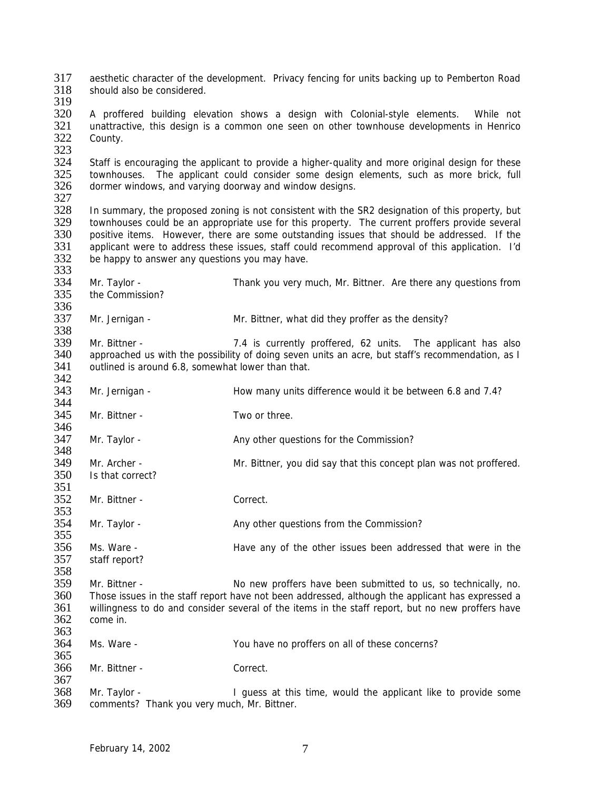317 aesthetic character of the development. Privacy fencing for units backing up to Pemberton Road<br>318 should also be considered should also be considered.

319

320 A proffered building elevation shows a design with Colonial-style elements. While not 321 unattractive, this design is a common one seen on other townhouse developments in Henrico 321 unattractive, this design is a common one seen on other townhouse developments in Henrico<br>322 County. County.

323<br>324 324 Staff is encouraging the applicant to provide a higher-quality and more original design for these<br>325 Stownhouses. The applicant could consider some design elements, such as more brick, full 325 townhouses. The applicant could consider some design elements, such as more brick, full 326 dormer windows, and varying doorway and window designs. dormer windows, and varying doorway and window designs.

327<br>328

353

328 In summary, the proposed zoning is not consistent with the SR2 designation of this property, but 329 townhouses could be an appropriate use for this property. The current proffers provide several townhouses could be an appropriate use for this property. The current proffers provide several 330 positive items. However, there are some outstanding issues that should be addressed. If the 331 applicant were to address these issues, staff could recommend approval of this application. I'd applicant were to address these issues, staff could recommend approval of this application. I'd 332 be happy to answer any questions you may have. 333

334 Mr. Taylor - Thank you very much, Mr. Bittner. Are there any questions from 335 the Commission? the Commission? 336<br>337

Mr. Jernigan - Mr. Bittner, what did they proffer as the density?

338<br>339 339 Mr. Bittner - 2008 7.4 is currently proffered, 62 units. The applicant has also<br>340 approached us with the possibility of doing seven units an acre, but staff's recommendation, as I approached us with the possibility of doing seven units an acre, but staff's recommendation, as I 341 outlined is around 6.8, somewhat lower than that.

342<br>343 Mr. Jernigan - **How many units difference would it be between 6.8 and 7.4?** 344

345 Mr. Bittner - Two or three.

346<br>347 Mr. Taylor - Any other questions for the Commission?  $\frac{348}{349}$ 

349 Mr. Archer - Mr. Bittner, you did say that this concept plan was not proffered.<br>350 Is that correct? Is that correct?

351<br>352 Mr. Bittner - Correct.

354 Mr. Taylor - Any other questions from the Commission?

355 356 Ms. Ware - Have any of the other issues been addressed that were in the staff report? staff report?

358<br>359 Mr. Bittner - No new proffers have been submitted to us, so technically, no. 360 Those issues in the staff report have not been addressed, although the applicant has expressed a<br>361 Willingness to do and consider several of the items in the staff report, but no new proffers have 361 willingness to do and consider several of the items in the staff report, but no new proffers have 362 come in. come in. 363

364 Ms. Ware - You have no proffers on all of these concerns? 365

366 Mr. Bittner - Correct.

367<br>368 368 Mr. Taylor - I guess at this time, would the applicant like to provide some 369 comments? Thank you very much. Mr. Bittner. comments? Thank you very much, Mr. Bittner.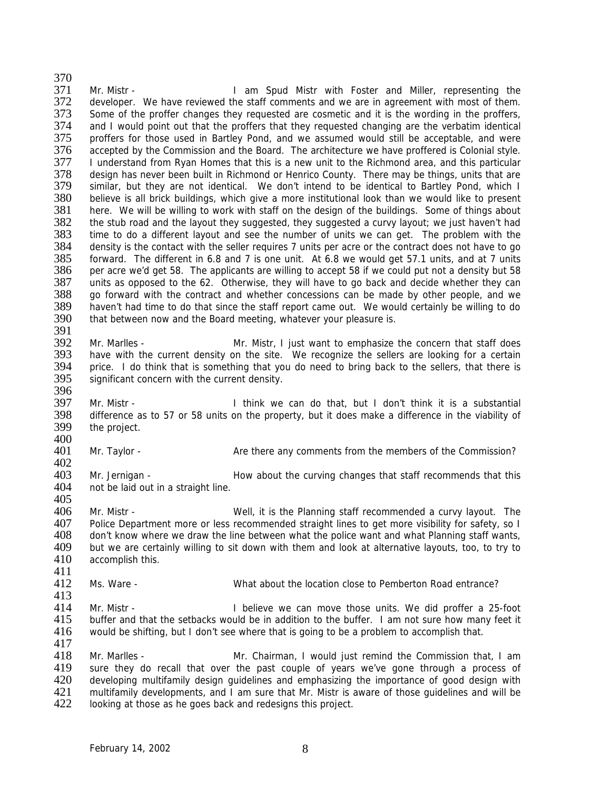370<br>371 371 Mr. Mistr - I am Spud Mistr with Foster and Miller, representing the 372 developer. We have reviewed the staff comments and we are in agreement with most of them. developer. We have reviewed the staff comments and we are in agreement with most of them. 373 Some of the proffer changes they requested are cosmetic and it is the wording in the proffers,<br>374 and I would point out that the proffers that they requested changing are the verbatim identical 374 and I would point out that the proffers that they requested changing are the verbatim identical<br>375 proffers for those used in Bartley Pond, and we assumed would still be acceptable, and were proffers for those used in Bartley Pond, and we assumed would still be acceptable, and were 376 accepted by the Commission and the Board. The architecture we have proffered is Colonial style.<br>377 I understand from Rvan Homes that this is a new unit to the Richmond area, and this particular 377 I understand from Ryan Homes that this is a new unit to the Richmond area, and this particular<br>378 design has never been built in Richmond or Henrico County. There may be things, units that are 378 design has never been built in Richmond or Henrico County. There may be things, units that are<br>379 similar, but they are not identical. We don't intend to be identical to Bartley Pond, which I 379 similar, but they are not identical. We don't intend to be identical to Bartley Pond, which I<br>380 believe is all brick buildings, which give a more institutional look than we would like to present 380 believe is all brick buildings, which give a more institutional look than we would like to present 381 bere. We will be willing to work with staff on the design of the buildings. Some of things about 381 here. We will be willing to work with staff on the design of the buildings. Some of things about 382 the stub road and the layout they suggested. They suggested a curvy layout: we just haven't had the stub road and the layout they suggested, they suggested a curvy layout; we just haven't had 383 time to do a different layout and see the number of units we can get. The problem with the 384 density is the contact with the seller requires 7 units per acre or the contract does not have to go density is the contact with the seller requires 7 units per acre or the contract does not have to go 385 forward. The different in 6.8 and 7 is one unit. At 6.8 we would get 57.1 units, and at 7 units 386 per acre we'd get 58. The applicants are willing to accept 58 if we could put not a density but 58 387 units as opposed to the 62. Otherwise, they will have to go back and decide whether they can<br>388 ao forward with the contract and whether concessions can be made by other people, and we 388 go forward with the contract and whether concessions can be made by other people, and we<br>389 haven't had time to do that since the staff report came out. We would certainly be willing to do 389 haven't had time to do that since the staff report came out. We would certainly be willing to do 390 that between now and the Board meeting, whatever your pleasure is. that between now and the Board meeting, whatever your pleasure is.

 $\frac{391}{392}$ 392 Mr. Marlles - Mr. Mistr, I just want to emphasize the concern that staff does<br>393 have with the current density on the site. We recognize the sellers are looking for a certain have with the current density on the site. We recognize the sellers are looking for a certain 394 price. I do think that is something that you do need to bring back to the sellers, that there is 395 significant concern with the current density. significant concern with the current density. 396

397 Mr. Mistr - I think we can do that, but I don't think it is a substantial 398 difference as to 57 or 58 units on the property, but it does make a difference in the viability of 399 the project.

400<br>401 Mr. Taylor - Are there any comments from the members of the Commission?

 $\frac{402}{403}$ 403 Mr. Jernigan - How about the curving changes that staff recommends that this 404 not be laid out in a straight line. not be laid out in a straight line.

405

417

406 Mr. Mistr - Well, it is the Planning staff recommended a curvy layout. The 407 Police Department more or less recommended straight lines to get more visibility for safety, so I 408 don't know where we draw the line between what the police want and what Planning staff wants, 409 but we are certainly willing to sit down with them and look at alternative layouts, too, to try to 410 accomplish this. accomplish this.

 $\frac{411}{412}$ Ms. Ware - The Subsettion What about the location close to Pemberton Road entrance?

413<br>414 414 Mr. Mistr - **I** believe we can move those units. We did proffer a 25-foot 415 buffer and that the setbacks would be in addition to the buffer. I am not sure how many feet it buffer and that the setbacks would be in addition to the buffer. I am not sure how many feet it 416 would be shifting, but I don't see where that is going to be a problem to accomplish that.

418 Mr. Marlles - Mr. Chairman, I would just remind the Commission that, I am 419 sure they do recall that over the past couple of years we've gone through a process of 420 developing multifamily design quidelines and emphasizing the importance of good design with 420 developing multifamily design guidelines and emphasizing the importance of good design with<br>421 multifamily developments, and I am sure that Mr. Mistr is aware of those quidelines and will be 421 multifamily developments, and I am sure that Mr. Mistr is aware of those guidelines and will be 422 looking at those as he goes back and redesigns this project. looking at those as he goes back and redesigns this project.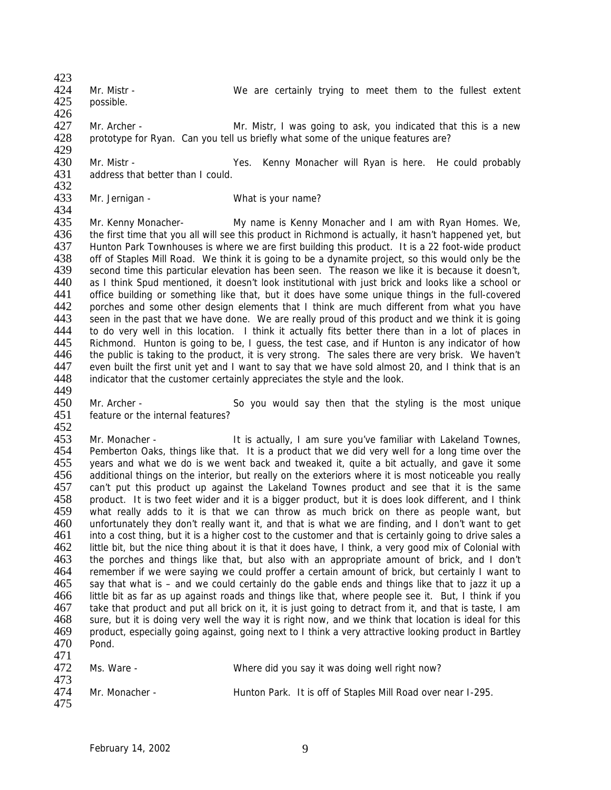- 423<br>424 424 Mr. Mistr - We are certainly trying to meet them to the fullest extent 425 possible. possible.
- 
- 426<br>427 427 Mr. Archer - Mr. Sangler, I was going to ask, you indicated that this is a new<br>428 Directotype for Ryan. Can you tell us briefly what some of the unique features are? prototype for Ryan. Can you tell us briefly what some of the unique features are?
- 429<br>430 430 Mr. Mistr - The State Mes. Kenny Monacher will Ryan is here. He could probably 431 address that better than I could. address that better than I could.
- 432<br>433 Mr. Jernigan - What is your name?

434<br>435 435 Mr. Kenny Monacher- My name is Kenny Monacher and I am with Ryan Homes. We, 436 the first time that you all will see this product in Richmond is actually, it hasn't happened yet, but 436 the first time that you all will see this product in Richmond is actually, it hasn't happened yet, but 437<br>437 Hunton Park Townhouses is where we are first building this product. It is a 22 foot-wide product Hunton Park Townhouses is where we are first building this product. It is a 22 foot-wide product 438 off of Staples Mill Road. We think it is going to be a dynamite project, so this would only be the 439 second time this particular elevation has been seen. The reason we like it is because it doesn't. second time this particular elevation has been seen. The reason we like it is because it doesn't, 440 as I think Spud mentioned, it doesn't look institutional with just brick and looks like a school or 441 office building or something like that, but it does have some unique things in the full-covered 441 office building or something like that, but it does have some unique things in the full-covered<br>442 porches and some other design elements that I think are much different from what you have 442 porches and some other design elements that I think are much different from what you have<br>443 seen in the past that we have done. We are really proud of this product and we think it is going 443 seen in the past that we have done. We are really proud of this product and we think it is going<br>444 to do very well in this location. I think it actually fits better there than in a lot of places in 444 to do very well in this location. I think it actually fits better there than in a lot of places in 445 Richmond. Hunton is going to be. I quess, the test case, and if Hunton is any indicator of how 445 Richmond. Hunton is going to be, I guess, the test case, and if Hunton is any indicator of how<br>446 the public is taking to the product, it is very strong. The sales there are very brisk. We haven't the public is taking to the product, it is very strong. The sales there are very brisk. We haven't 447 even built the first unit yet and I want to say that we have sold almost 20, and I think that is an 448 indicator that the customer certainly appreciates the style and the look. indicator that the customer certainly appreciates the style and the look. 449

450 Mr. Archer - So you would say then that the styling is the most unique 451 feature or the internal features?

452<br>453 Af 3 Mr. Monacher - It is actually, I am sure you've familiar with Lakeland Townes,<br>454 Pemberton Oaks, things like that. It is a product that we did very well for a long time over the 454 Pemberton Oaks, things like that. It is a product that we did very well for a long time over the 455 vears and what we do is we went back and tweaked it, quite a bit actually, and gave it some 455 years and what we do is we went back and tweaked it, quite a bit actually, and gave it some 456 additional things on the interior, but really on the exteriors where it is most noticeable you really 456 additional things on the interior, but really on the exteriors where it is most noticeable you really 457 can't put this product up against the Lakeland Townes product and see that it is the same 457 can't put this product up against the Lakeland Townes product and see that it is the same<br>458 product. It is two feet wider and it is a bigger product, but it is does look different, and I think product. It is two feet wider and it is a bigger product, but it is does look different, and I think 459 what really adds to it is that we can throw as much brick on there as people want, but 460 unfortunately they don't really want it, and that is what we are finding, and I don't want to get 461 into a cost thing, but it is a higher cost to the customer and that is certainly going to drive sales a 462 little bit, but the nice thing about it is that it does have, I think, a very good mix of Colonial with 463 the porches and things like that, but also with an appropriate amount of brick, and I don't 463 the porches and things like that, but also with an appropriate amount of brick, and I don't 464 remember if we were saving we could proffer a certain amount of brick, but certainly I want to 464 remember if we were saying we could proffer a certain amount of brick, but certainly I want to 465 say that what is – and we could certainly do the gable ends and things like that to jazz it up a say that what is – and we could certainly do the gable ends and things like that to jazz it up a 466 little bit as far as up against roads and things like that, where people see it. But, I think if you 467 take that product and put all brick on it, it is just going to detract from it, and that is taste, I am<br>468 sure, but it is doing very well the way it is right now, and we think that location is ideal for this 468 sure, but it is doing very well the way it is right now, and we think that location is ideal for this 469 product, especially going against, going next to I think a very attractive looking product in Bartley 469 product, especially going against, going next to I think a very attractive looking product in Bartley 470 Pond. 471

| .<br>472<br>473 | Ms. Ware -     | Where did you say it was doing well right now?               |
|-----------------|----------------|--------------------------------------------------------------|
| 474<br>475      | Mr. Monacher - | Hunton Park. It is off of Staples Mill Road over near I-295. |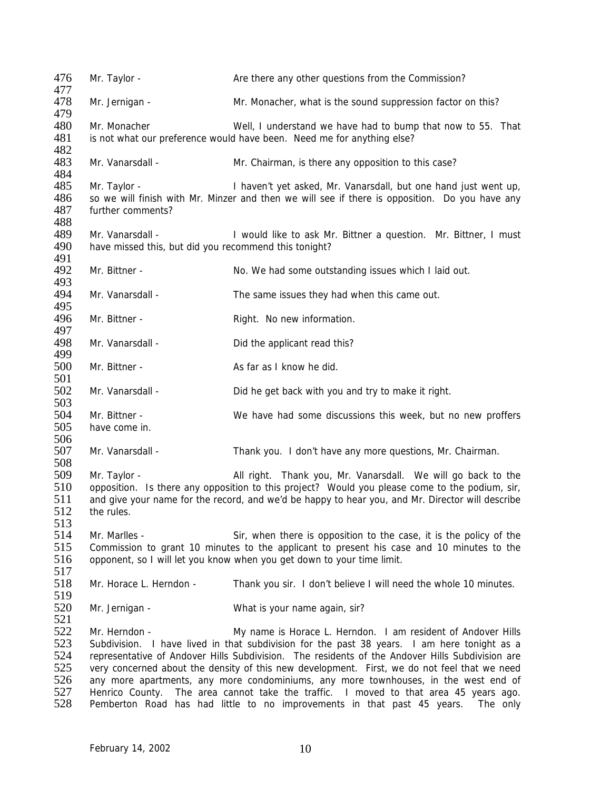476 Mr. Taylor - Are there any other questions from the Commission? 477<br>478 Mr. Jernigan - Mr. Monacher, what is the sound suppression factor on this? 479<br>480 Mr. Monacher **Well, I understand we have had to bump that now to 55.** That 481 is not what our preference would have been. Need me for anything else? 482<br>483 Mr. Vanarsdall - Mr. Chairman, is there any opposition to this case? 484<br>485 485 Mr. Taylor - I haven't yet asked, Mr. Vanarsdall, but one hand just went up,<br>486 So we will finish with Mr. Minzer and then we will see if there is opposition. Do you have any 486 so we will finish with Mr. Minzer and then we will see if there is opposition. Do you have any 487 further comments? further comments? 488 489 Mr. Vanarsdall - I would like to ask Mr. Bittner a question. Mr. Bittner, I must 490 have missed this, but did you recommend this tonight? have missed this, but did you recommend this tonight? 491<br>492 Mr. Bittner - No. We had some outstanding issues which I laid out. 493<br>494 Mr. Vanarsdall - The same issues they had when this came out. 495<br>496 Mr. Bittner - Right. No new information. 497<br>498 Mr. Vanarsdall - Did the applicant read this? 499 500 Mr. Bittner - As far as I know he did. 501 502 Mr. Vanarsdall - Did he get back with you and try to make it right. 503 504 Mr. Bittner - We have had some discussions this week, but no new proffers have come in. have come in. 506<br>507 507 Mr. Vanarsdall - Thank you. I don't have any more questions, Mr. Chairman. 508<br>509 Mr. Taylor - All right. Thank you, Mr. Vanarsdall. We will go back to the 510 opposition. Is there any opposition to this project? Would you please come to the podium, sir,<br>511 and give your name for the record, and we'd be happy to hear you, and Mr. Director will describe and give your name for the record, and we'd be happy to hear you, and Mr. Director will describe 512 the rules. 513 514 Mr. Marlles - Sir, when there is opposition to the case, it is the policy of the 515 Commission to grant 10 minutes to the applicant to present his case and 10 minutes to the 516 opponent, so I will let you know when you get down to your time limit. opponent, so I will let you know when you get down to your time limit.  $\frac{517}{518}$ Mr. Horace L. Herndon - Thank you sir. I don't believe I will need the whole 10 minutes. 519<br>520 Mr. Jernigan - What is your name again, sir? 521<br>522 Mr. Herndon - The My name is Horace L. Herndon. I am resident of Andover Hills 523 Subdivision. I have lived in that subdivision for the past 38 years. I am here tonight as a 524 representative of Andover Hills Subdivision. The residents of the Andover Hills Subdivision are 525 very concerned about the density of this new development. First, we do not feel that we need<br>526 any more apartments, any more condominiums, any more townhouses, in the west end of 526 any more apartments, any more condominiums, any more townhouses, in the west end of 527 Henrico County. The area cannot take the traffic. I moved to that area 45 years ago. 527 Henrico County. The area cannot take the traffic. I moved to that area 45 years ago. Pemberton Road has had little to no improvements in that past 45 years. The only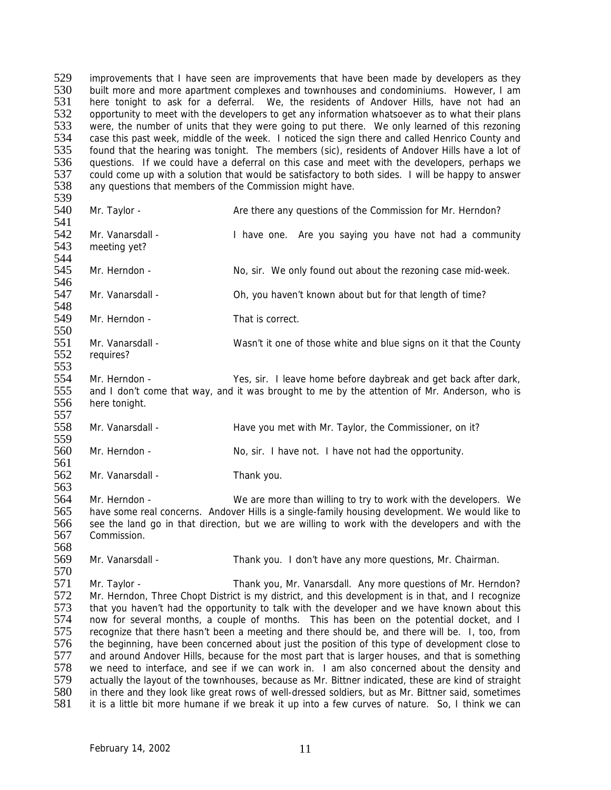529 improvements that I have seen are improvements that have been made by developers as they<br>530 built more and more anartment complexes and townhouses and condominiums. However I am 530 built more and more apartment complexes and townhouses and condominiums. However, I am<br>531 bere tonight to ask for a deferral. We, the residents of Andover Hills, have not had an here tonight to ask for a deferral. We, the residents of Andover Hills, have not had an 532 opportunity to meet with the developers to get any information whatsoever as to what their plans<br>533 were, the number of units that they were going to put there. We only learned of this rezoning 533 were, the number of units that they were going to put there. We only learned of this rezoning<br>534 case this past week, middle of the week. I noticed the sign there and called Henrico County and case this past week, middle of the week. I noticed the sign there and called Henrico County and 535 found that the hearing was tonight. The members (sic), residents of Andover Hills have a lot of 536 guestions. If we could have a deferral on this case and meet with the developers, perhaps we 536 questions. If we could have a deferral on this case and meet with the developers, perhaps we<br>537 could come up with a solution that would be satisfactory to both sides. I will be happy to answer 537 could come up with a solution that would be satisfactory to both sides. I will be happy to answer<br>538 any questions that members of the Commission might have. any questions that members of the Commission might have.

- 539<br>540
- Mr. Taylor **Are there any questions of the Commission for Mr. Herndon?** 541 542 Mr. Vanarsdall - I have one. Are you saying you have not had a community 543 meeting yet? meeting yet?
- 544 Mr. Herndon - No, sir. We only found out about the rezoning case mid-week.
- 546<br>547 547 Mr. Vanarsdall - Oh, you haven't known about but for that length of time?
- 548<br>549 Mr. Herndon - That is correct.
- 550<br>551 551 Mr. Vanarsdall - Wasn't it one of those white and blue signs on it that the County<br>552 requires? requires?
- 553<br>554 Mr. Herndon - Yes, sir. I leave home before daybreak and get back after dark, 555 and I don't come that way, and it was brought to me by the attention of Mr. Anderson, who is 556 here tonight. 557
- 558 Mr. Vanarsdall Have you met with Mr. Taylor, the Commissioner, on it?
- 559<br>560 Mr. Herndon - No, sir. I have not. I have not had the opportunity.
- 561<br>562 Mr. Vanarsdall - Thank you.
- 563<br>564 Mr. Herndon - We are more than willing to try to work with the developers. We 565 have some real concerns. Andover Hills is a single-family housing development. We would like to 566 see the land go in that direction, but we are willing to work with the developers and with the 567 Commission.
- 568 Mr. Vanarsdall - Thank you. I don't have any more questions, Mr. Chairman.
- 570<br>571 571 Mr. Taylor - Thank you, Mr. Vanarsdall. Any more questions of Mr. Herndon?<br>572 Mr. Herndon. Three Chopt District is my district, and this development is in that, and I recognize 572 Mr. Herndon, Three Chopt District is my district, and this development is in that, and I recognize<br>573 that you haven't had the opportunity to talk with the developer and we have known about this 573 that you haven't had the opportunity to talk with the developer and we have known about this<br>574 now for several months, a couple of months. This has been on the potential docket, and I 574 now for several months, a couple of months. This has been on the potential docket, and I<br>575 recognize that there hasn't been a meeting and there should be, and there will be. I, too, from 575 recognize that there hasn't been a meeting and there should be, and there will be. I, too, from 576 the beginning, have been concerned about just the position of this type of development close to 577 and around Andover Hills, because for the most part that is larger houses, and that is something 578 we need to interface, and see if we can work in. I am also concerned about the density and 579 actually the lavout of the townhouses, because as Mr. Bittner indicated, these are kind of straight 579 actually the layout of the townhouses, because as Mr. Bittner indicated, these are kind of straight 580 in there and they look like great rows of well-dressed soldiers, but as Mr. Bittner said, sometimes 580 in there and they look like great rows of well-dressed soldiers, but as Mr. Bittner said, sometimes 581 it is a little bit more humane if we break it up into a few curves of nature. So, I think we can it is a little bit more humane if we break it up into a few curves of nature. So, I think we can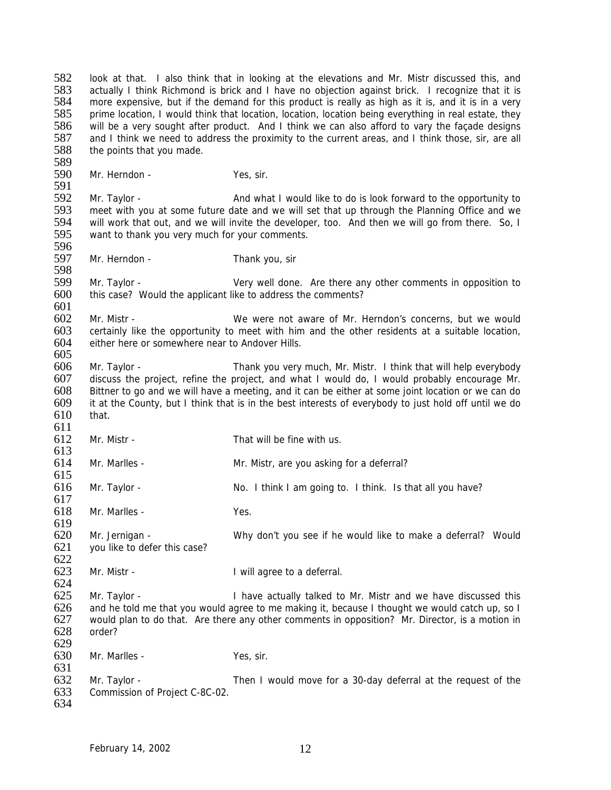582 look at that. I also think that in looking at the elevations and Mr. Mistr discussed this, and<br>583 actually I think Richmond is brick and I have no obiection against brick. I recognize that it is 583 actually I think Richmond is brick and I have no objection against brick. I recognize that it is<br>584 more expensive, but if the demand for this product is really as high as it is, and it is in a very more expensive, but if the demand for this product is really as high as it is, and it is in a very 585 prime location, I would think that location, location, location being everything in real estate, they<br>586 will be a very sought after product. And I think we can also afford to vary the facade designs will be a very sought after product. And I think we can also afford to vary the façade designs 587 and I think we need to address the proximity to the current areas, and I think those, sir, are all 588 the points that you made. 589<br>590 Mr. Herndon - Yes, sir. 591<br>592 592 Mr. Taylor - And what I would like to do is look forward to the opportunity to 593 meet with you at some future date and we will set that up through the Planning Office and we 593 meet with you at some future date and we will set that up through the Planning Office and we<br>594 will work that out, and we will invite the developer, too. And then we will go from there. So, I will work that out, and we will invite the developer, too. And then we will go from there. So, I 595 want to thank you very much for your comments. 596<br>597 Mr. Herndon - Thank you, sir 598 599 Mr. Taylor - Very well done. Are there any other comments in opposition to<br>600 this case? Would the applicant like to address the comments? this case? Would the applicant like to address the comments? 601<br>602 602 Mr. Mistr - We were not aware of Mr. Herndon's concerns, but we would<br>603 certainly like the opportunity to meet with him and the other residents at a suitable location. 603 certainly like the opportunity to meet with him and the other residents at a suitable location,  $604$  either here or somewhere near to Andover Hills either here or somewhere near to Andover Hills. 605 606 Mr. Taylor - Thank you very much, Mr. Mistr. I think that will help everybody 607 discuss the project, refine the project, and what I would do, I would probably encourage Mr. 608 Bittner to go and we will have a meeting, and it can be either at some joint location or we can do 609 it at the County, but I think that is in the best interests of everybody to just hold off until we do 610 that.  $611$ <br> $612$ Mr. Mistr - That will be fine with us.  $613$ <br> $614$ Mr. Marlles - Mr. Mistr, are you asking for a deferral? 615 616 Mr. Taylor - No. I think I am going to. I think. Is that all you have? 617 618 Mr. Marlles - Yes. 619 620 Mr. Jernigan - Why don't you see if he would like to make a deferral? Would 621 you like to defer this case?  $622$ <br> $623$ Mr. Mistr - The Muslim Controller Here is a deferral. 624<br>625 Mr. Taylor - The Mr. Taylor - I have actually talked to Mr. Mistr and we have discussed this 626 and he told me that you would agree to me making it, because I thought we would catch up, so I<br>627 would plan to do that. Are there any other comments in opposition? Mr. Director, is a motion in 627 would plan to do that. Are there any other comments in opposition? Mr. Director, is a motion in 628 order? order? 629 630 Mr. Marlles - Yes, sir. 631<br>632 632 Mr. Taylor - Then I would move for a 30-day deferral at the request of the 633 Commission of Project C-8C-02. Commission of Project C-8C-02. 634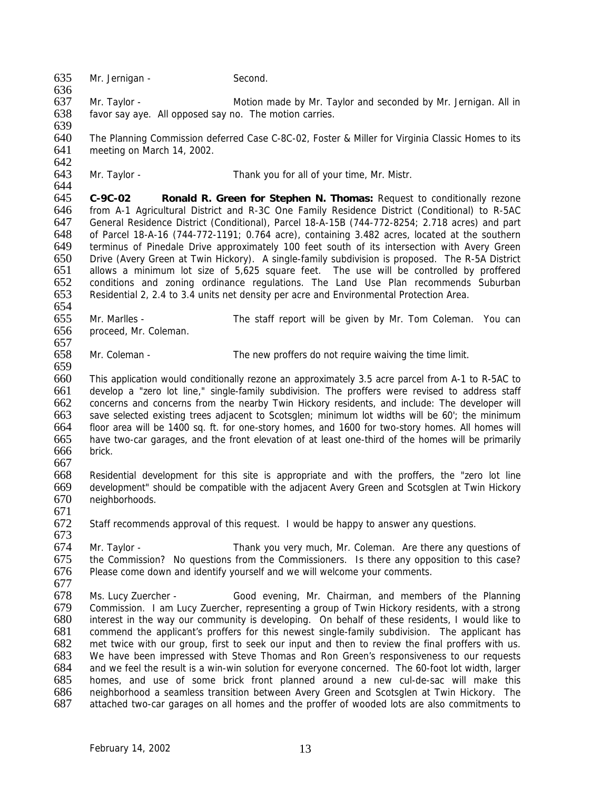635 Mr. Jernigan - Second. 636<br>637 637 Mr. Taylor - Motion made by Mr. Taylor and seconded by Mr. Jernigan. All in 638 favor say aye. All opposed say no. The motion carries. 639 640 The Planning Commission deferred Case C-8C-02, Foster & Miller for Virginia Classic Homes to its 641 meeting on March 14, 2002. 642<br>643 Mr. Taylor - Thank you for all of your time, Mr. Mistr. 644<br>645 645 **C-9C-02 Ronald R. Green for Stephen N. Thomas:** Request to conditionally rezone 646 from A-1 Agricultural District and R-3C One Family Residence District (Conditional) to R-5AC 647 General Residence District (Conditional), Parcel 18-A-15B (744-772-8254; 2.718 acres) and part 648 of Parcel 18-A-16 (744-772-1191; 0.764 acre), containing 3.482 acres, located at the southern terminus of Pinedale Drive approximately 100 feet south of its intersection with Avery Green 650 Drive (Avery Green at Twin Hickory). A single-family subdivision is proposed. The R-5A District 651 allows a minimum lot size of 5,625 square feet. The use will be controlled by proffered 652 conditions and zoning ordinance regulations. The Land Use Plan recommends Suburban<br>653 Residential 2, 2,4 to 3,4 units net density per acre and Environmental Protection Area. Residential 2, 2.4 to 3.4 units net density per acre and Environmental Protection Area. 654<br>655 655 Mr. Marlles - The staff report will be given by Mr. Tom Coleman. You can 656 proceed. Mr. Coleman. proceed, Mr. Coleman. 657 658 Mr. Coleman - The new proffers do not require waiving the time limit. 659 660 This application would conditionally rezone an approximately 3.5 acre parcel from A-1 to R-5AC to 661 develop a "zero lot line," single-family subdivision. The proffers were revised to address staff 662 concerns and concerns from the nearby Twin Hickory residents, and include: The developer will 663 save selected existing trees adjacent to Scotsglen; minimum lot widths will be 60'; the minimum 664 floor area will be 1400 sq. ft. for one-story homes, and 1600 for two-story homes. All homes will 665 have two-car garages, and the front elevation of at least one-third of the homes will be primarily brick. 667 668 Residential development for this site is appropriate and with the proffers, the "zero lot line 669 development" should be compatible with the adjacent Avery Green and Scotsglen at Twin Hickory<br>670 neighborhoods. neighborhoods. 671 672 Staff recommends approval of this request. I would be happy to answer any questions. 673 674 Mr. Taylor - Thank you very much, Mr. Coleman. Are there any questions of 675 the Commission? No questions from the Commissioners. Is there any opposition to this case? 675 the Commission? No questions from the Commissioners. Is there any opposition to this case?<br>676 Please come down and identify vourself and we will welcome your comments. Please come down and identify yourself and we will welcome your comments. 677<br>678 678 Ms. Lucy Zuercher - Good evening, Mr. Chairman, and members of the Planning<br>679 Commission. I am Lucy Zuercher, representing a group of Twin Hickory residents, with a strong 679 Commission. I am Lucy Zuercher, representing a group of Twin Hickory residents, with a strong interest in the way our community is developing. On behalf of these residents, I would like to 681 commend the applicant's proffers for this newest single-family subdivision. The applicant has 682 met twice with our group, first to seek our input and then to review the final proffers with us. 683 We have been impressed with Steve Thomas and Ron Green's responsiveness to our requests 684 and we feel the result is a win-win solution for everyone concerned. The 60-foot lot width, larger 685 homes, and use of some brick front planned around a new cul-de-sac will make this 686 neighborhood a seamless transition between Avery Green and Scotsalen at Twin Hickory. The 686 neighborhood a seamless transition between Avery Green and Scotsglen at Twin Hickory. The 687 attached two-car garages on all homes and the proffer of wooded lots are also commitments to attached two-car garages on all homes and the proffer of wooded lots are also commitments to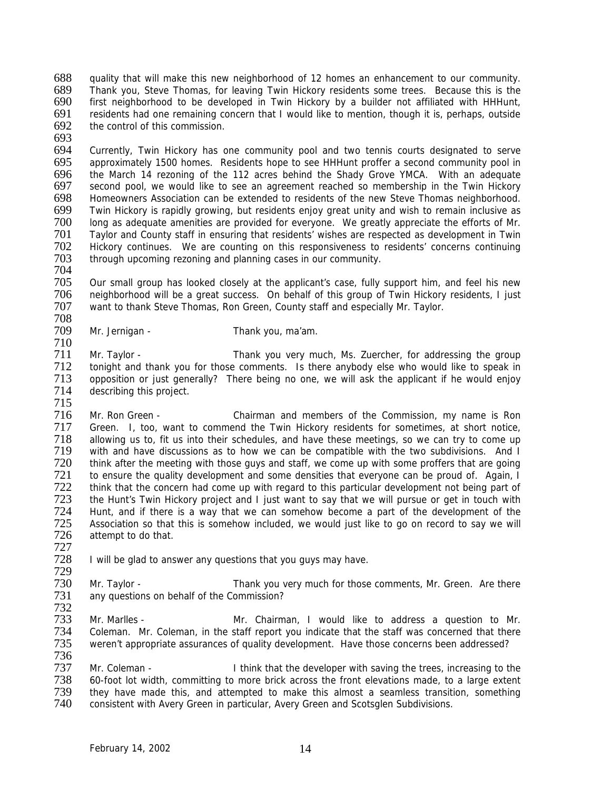688 quality that will make this new neighborhood of 12 homes an enhancement to our community.<br>689 Thank you, Steve Thomas, for leaving Twin Hickory residents some trees. Because this is the 689 Thank you, Steve Thomas, for leaving Twin Hickory residents some trees. Because this is the first neighborhood to be developed in Twin Hickory by a builder not affiliated with HHHunt, 691 residents had one remaining concern that I would like to mention, though it is, perhaps, outside 692 the control of this commission. the control of this commission.

693

694 Currently, Twin Hickory has one community pool and two tennis courts designated to serve<br>695 approximately 1500 homes. Residents hope to see HHHunt proffer a second community pool in 695 approximately 1500 homes. Residents hope to see HHHunt proffer a second community pool in<br>696 the March 14 rezoning of the 112 acres behind the Shady Grove YMCA. With an adequate 696 the March 14 rezoning of the 112 acres behind the Shady Grove YMCA. With an adequate 697 second pool, we would like to see an agreement reached so membership in the Twin Hickory 697 second pool, we would like to see an agreement reached so membership in the Twin Hickory<br>698 Homeowners Association can be extended to residents of the new Steve Thomas neighborhood. 698 Homeowners Association can be extended to residents of the new Steve Thomas neighborhood.<br>699 Twin Hickory is rapidly growing, but residents eniov great unity and wish to remain inclusive as 699 Twin Hickory is rapidly growing, but residents enjoy great unity and wish to remain inclusive as 700 long as adequate amenities are provided for everyone. We greatly appreciate the efforts of Mr.<br>701 Taylor and County staff in ensuring that residents' wishes are respected as development in Twin 701 Taylor and County staff in ensuring that residents' wishes are respected as development in Twin 702 Hickory continues. We are counting on this responsiveness to residents' concerns continuing<br>703 through upcoming rezoning and planning cases in our community. through upcoming rezoning and planning cases in our community.

704

705 Our small group has looked closely at the applicant's case, fully support him, and feel his new<br>706 neighborhood will be a great success. On behalf of this group of Twin Hickory residents. I just 706 neighborhood will be a great success. On behalf of this group of Twin Hickory residents, I just 707 want to thank Steve Thomas, Ron Green, County staff and especially Mr. Taylor. want to thank Steve Thomas, Ron Green, County staff and especially Mr. Taylor.

708 Mr. Jernigan - Thank you, ma'am.

710 Mr. Taylor - Thank you very much, Ms. Zuercher, for addressing the group 712 tonight and thank you for those comments. Is there anybody else who would like to speak in<br>713 opposition or just generally? There being no one, we will ask the applicant if he would enjoy 713 opposition or just generally? There being no one, we will ask the applicant if he would enjoy<br>714 describing this project. describing this project.

715

716 Mr. Ron Green - Chairman and members of the Commission, my name is Ron 717 Green. I, too, want to commend the Twin Hickory residents for sometimes, at short notice,<br>718 allowing us to, fit us into their schedules, and have these meetings, so we can try to come up 718 allowing us to, fit us into their schedules, and have these meetings, so we can try to come up<br>719 with and have discussions as to how we can be compatible with the two subdivisions. And I 719 with and have discussions as to how we can be compatible with the two subdivisions. And I<br>720 think after the meeting with those guys and staff, we come up with some proffers that are going 720 think after the meeting with those guys and staff, we come up with some proffers that are going<br>721 to ensure the quality development and some densities that everyone can be proud of. Again. I Term to ensure the quality development and some densities that everyone can be proud of. Again, I<br>Term think that the concern had come up with regard to this particular development not being part of 722 think that the concern had come up with regard to this particular development not being part of 723 the Hunt's Twin Hickory project and I just want to say that we will pursue or get in touch with 723 the Hunt's Twin Hickory project and I just want to say that we will pursue or get in touch with<br>724 Hunt, and if there is a way that we can somehow become a part of the development of the 724 Hunt, and if there is a way that we can somehow become a part of the development of the 725 Association so that this is somehow included, we would just like to go on record to say we will Association so that this is somehow included, we would just like to go on record to say we will 726 attempt to do that.

727 I will be glad to answer any questions that you guys may have.

729<br>730 730 Mr. Taylor - Thank you very much for those comments, Mr. Green. Are there<br>731 any questions on behalf of the Commission? any questions on behalf of the Commission?

732<br>733 The Mr. Marles - The Mr. Chairman, I would like to address a question to Mr.<br>
734 Coleman. Mr. Coleman, in the staff report you indicate that the staff was concerned that there Coleman. Mr. Coleman, in the staff report you indicate that the staff was concerned that there 735 weren't appropriate assurances of quality development. Have those concerns been addressed?

736<br>737 737 Mr. Coleman - I think that the developer with saving the trees, increasing to the 738 60-foot lot width. committing to more brick across the front elevations made, to a large extent 738 60-foot lot width, committing to more brick across the front elevations made, to a large extent 739 they have made this, and attempted to make this almost a seamless transition, something 739 they have made this, and attempted to make this almost a seamless transition, something<br>740 consistent with Avery Green in particular. Avery Green and Scotsalen Subdivisions. consistent with Avery Green in particular, Avery Green and Scotsglen Subdivisions.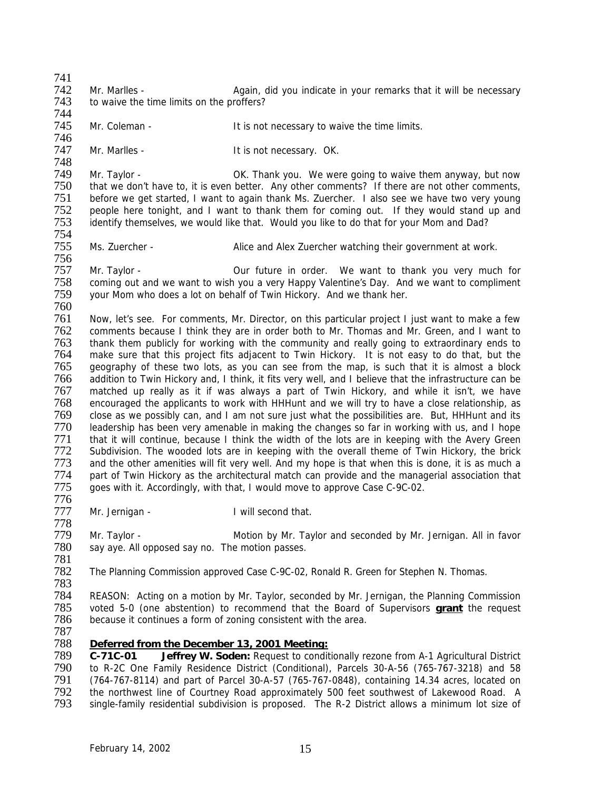741<br>742 742 Mr. Marlles - Again, did you indicate in your remarks that it will be necessary<br>743 to waive the time limits on the proffers? to waive the time limits on the proffers? 744<br>745 Mr. Coleman - The Music of the time is not necessary to waive the time limits. 746<br>747 Mr. Marlles - The Marles - It is not necessary. OK. 748 Thank you. We were going to waive them anyway, but now OK. Thank you. We were going to waive them anyway, but now<br>That we don't have to, it is even better. Any other comments? If there are not other comments. 750 that we don't have to, it is even better. Any other comments? If there are not other comments,<br>751 before we get started. I want to again thank Ms. Zuercher. I also see we have two very young 751 before we get started, I want to again thank Ms. Zuercher. I also see we have two very young<br>752 beople here tonight, and I want to thank them for coming out. If they would stand up and 752 people here tonight, and I want to thank them for coming out. If they would stand up and 753 identify themselves, we would like that. Would you like to do that for your Mom and Dad? identify themselves, we would like that. Would you like to do that for your Mom and Dad? 754 Ms. Zuercher - **Alice and Alex Zuercher watching their government at work.** 756 757 Mr. Taylor - Our future in order. We want to thank you very much for 758 coming out and we want to wish you a very Happy Valentine's Day. And we want to compliment 759 vour Mom who does a lot on behalf of Twin Hickory. And we thank her. your Mom who does a lot on behalf of Twin Hickory. And we thank her. 760<br>761 761 Now, let's see. For comments, Mr. Director, on this particular project I just want to make a few<br>762 Comments because I think they are in order both to Mr. Thomas and Mr. Green, and I want to 762 comments because I think they are in order both to Mr. Thomas and Mr. Green, and I want to 763 thank them publicly for working with the community and really going to extraordinary ends to 763 thank them publicly for working with the community and really going to extraordinary ends to<br>764 make sure that this project fits adiacent to Twin Hickory. It is not easy to do that, but the make sure that this project fits adjacent to Twin Hickory. It is not easy to do that, but the 765 geography of these two lots, as you can see from the map, is such that it is almost a block<br>766 addition to Twin Hickory and, I think, it fits very well, and I believe that the infrastructure can be addition to Twin Hickory and, I think, it fits very well, and I believe that the infrastructure can be 767 matched up really as it if was always a part of Twin Hickory, and while it isn't, we have 768 encouraged the applicants to work with HHHunt and we will try to have a close relationship, as 769 close as we possibly can, and I am not sure just what the possibilities are. But, HHHunt and its 770 leadership has been very amenable in making the changes so far in working with us, and I hope<br>771 that it will continue, because I think the width of the lots are in keeping with the Avery Green The 171 that it will continue, because I think the width of the lots are in keeping with the Avery Green<br>The Subdivision. The wooded lots are in keeping with the overall theme of Twin Hickory, the brick 772 Subdivision. The wooded lots are in keeping with the overall theme of Twin Hickory, the brick<br>773 and the other amenities will fit very well. And my hope is that when this is done, it is as much a 773 and the other amenities will fit very well. And my hope is that when this is done, it is as much a<br>774 part of Twin Hickory as the architectural match can provide and the managerial association that 774 part of Twin Hickory as the architectural match can provide and the managerial association that 775 ages with it. Accordingly, with that I would move to approve Case C-9C-02. 775 goes with it. Accordingly, with that, I would move to approve Case C-9C-02. 776 777 Mr. Jernigan - I will second that. 778 779 Mr. Taylor - Motion by Mr. Taylor and seconded by Mr. Jernigan. All in favor<br>780 say ave. All opposed say no. The motion passes. say aye. All opposed say no. The motion passes. 781 The Planning Commission approved Case C-9C-02, Ronald R. Green for Stephen N. Thomas. 783 784 REASON: Acting on a motion by Mr. Taylor, seconded by Mr. Jernigan, the Planning Commission<br>785 voted 5-0 (one abstention) to recommend that the Board of Supervisors **grant** the request 785 voted 5-0 (one abstention) to recommend that the Board of Supervisors **grant** the request because it continues a form of zoning consistent with the area. 787 788 *Deferred from the December 13, 2001 Meeting:* 789 **C-71C-01 Jeffrey W. Soden:** Request to conditionally rezone from A-1 Agricultural District 790 to R-2C One Family Residence District (Conditional), Parcels 30-A-56 (765-767-3218) and 58<br>791 (764-767-8114) and part of Parcel 30-A-57 (765-767-0848), containing 14.34 acres, located on 791 (764-767-8114) and part of Parcel 30-A-57 (765-767-0848), containing 14.34 acres, located on<br>792 the northwest line of Courtney Road approximately 500 feet southwest of Lakewood Road. A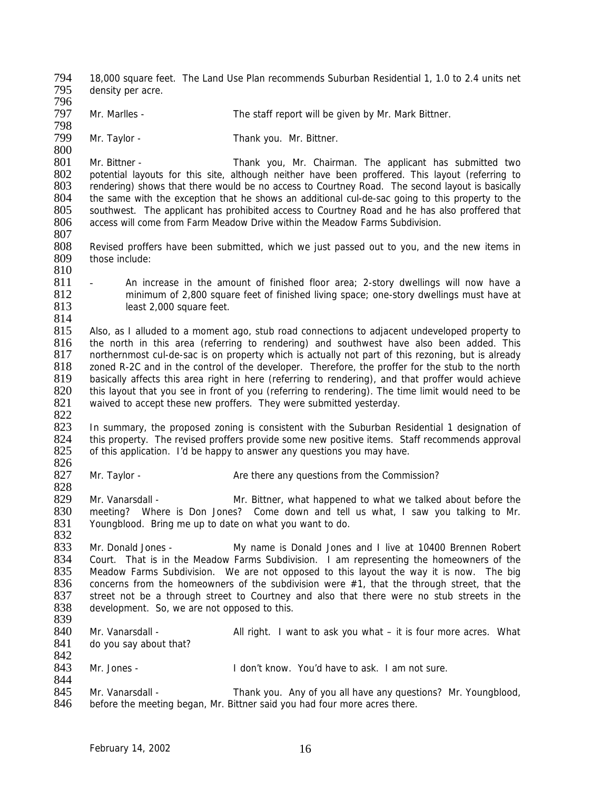794 18,000 square feet. The Land Use Plan recommends Suburban Residential 1, 1.0 to 2.4 units net<br>795 density per acre density per acre. 796<br>797 Mr. Marlles - The staff report will be given by Mr. Mark Bittner. 798<br>799 Mr. Taylor - Thank you. Mr. Bittner.  $\frac{800}{801}$ 801 Mr. Bittner - Thank you, Mr. Chairman. The applicant has submitted two<br>802 potential lavouts for this site, although neither have been proffered. This layout (referring to 802 potential layouts for this site, although neither have been proffered. This layout (referring to 803 rendering) shows that there would be no access to Courtney Road. The second layout is basically 803 rendering) shows that there would be no access to Courtney Road. The second layout is basically 804 the same with the exception that he shows an additional cul-de-sac going to this property to the 804 the same with the exception that he shows an additional cul-de-sac going to this property to the 805 southwest. The applicant has prohibited access to Courtney Road and he has also proffered that 805 southwest. The applicant has prohibited access to Courtney Road and he has also proffered that 806 access will come from Farm Meadow Drive within the Meadow Farms Subdivision. access will come from Farm Meadow Drive within the Meadow Farms Subdivision.  $\frac{807}{808}$ 808 Revised proffers have been submitted, which we just passed out to you, and the new items in 809 those include: those include: 810 811 - An increase in the amount of finished floor area; 2-story dwellings will now have a<br>812 minimum of 2.800 square feet of finished living space; one-story dwellings must have at 812 minimum of 2,800 square feet of finished living space; one-story dwellings must have at <br>813 Sepast 2.000 square feet. least 2,000 square feet.  $\frac{814}{815}$ 815 Also, as I alluded to a moment ago, stub road connections to adjacent undeveloped property to 816 the north in this area (referring to rendering) and southwest have also been added. This 816 the north in this area (referring to rendering) and southwest have also been added. This 817 northernmost cul-de-sac is on property which is actually not part of this rezoning, but is already northernmost cul-de-sac is on property which is actually not part of this rezoning, but is already 818 zoned R-2C and in the control of the developer. Therefore, the proffer for the stub to the north<br>819 basically affects this area right in here (referring to rendering), and that proffer would achieve basically affects this area right in here (referring to rendering), and that proffer would achieve 820 this layout that you see in front of you (referring to rendering). The time limit would need to be 821 waived to accept these new proffers. They were submitted yesterday. 822 823 In summary, the proposed zoning is consistent with the Suburban Residential 1 designation of 824 this property. The revised proffers provide some new positive items. Staff recommends approval 824 this property. The revised proffers provide some new positive items. Staff recommends approval 825 of this application. I'd be happy to answer any questions you may have. of this application. I'd be happy to answer any questions you may have. 826<br>827 Mr. Taylor - **Are there any questions from the Commission?** 828<br>829 Mr. Vanarsdall - **Mr. Bittner, what happened to what we talked about before the** 830 meeting? Where is Don Jones? Come down and tell us what, I saw you talking to Mr.<br>831 Youngblood. Bring me up to date on what you want to do. Youngblood. Bring me up to date on what you want to do. 832 833 Mr. Donald Jones - My name is Donald Jones and I live at 10400 Brennen Robert<br>834 Court. That is in the Meadow Farms Subdivision. I am representing the homeowners of the 834 Court. That is in the Meadow Farms Subdivision. I am representing the homeowners of the 835 Meadow Farms Subdivision. We are not opposed to this layout the way it is now. The big 835 Meadow Farms Subdivision. We are not opposed to this layout the way it is now. The big  $836$  concerns from the homeowners of the subdivision were  $\#1$ , that the through street, that the 836 concerns from the homeowners of the subdivision were  $#1$ , that the through street, that the 837 street not be a through street to Courtney and also that there were no stub streets in the 837 street not be a through street to Courtney and also that there were no stub streets in the 838 development. So we are not opposed to this. development. So, we are not opposed to this. 839<br>840 Mr. Vanarsdall - All right. I want to ask you what – it is four more acres. What 841 do you say about that? 842 843 Mr. Jones - I don't know. You'd have to ask. I am not sure. 844<br>845 845 Mr. Vanarsdall - Thank you. Any of you all have any questions? Mr. Youngblood, 846 before the meeting began. Mr. Bittner said you had four more acres there. before the meeting began, Mr. Bittner said you had four more acres there.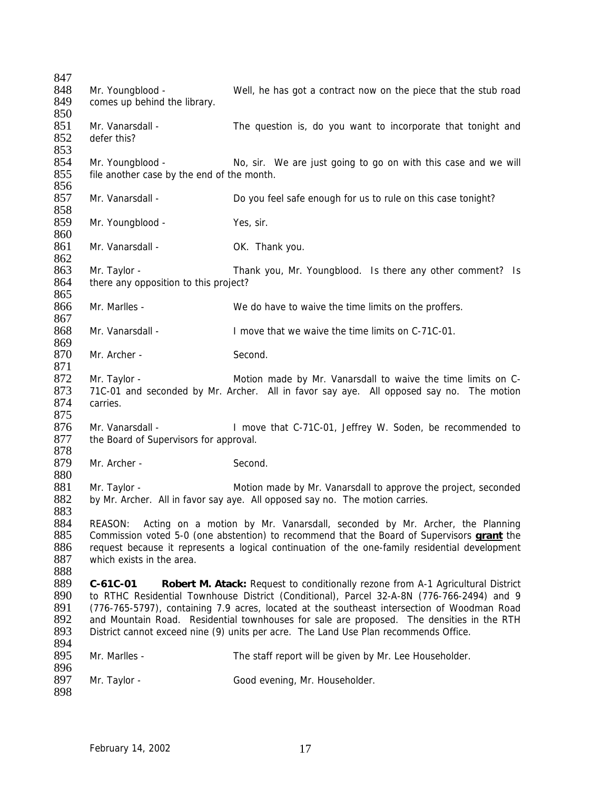| 847        |                                                                                                |                                                                                                   |  |
|------------|------------------------------------------------------------------------------------------------|---------------------------------------------------------------------------------------------------|--|
| 848        | Mr. Youngblood -                                                                               | Well, he has got a contract now on the piece that the stub road                                   |  |
| 849        | comes up behind the library.                                                                   |                                                                                                   |  |
| 850        |                                                                                                |                                                                                                   |  |
| 851        | Mr. Vanarsdall -                                                                               | The question is, do you want to incorporate that tonight and                                      |  |
| 852        | defer this?                                                                                    |                                                                                                   |  |
| 853        |                                                                                                |                                                                                                   |  |
| 854        | Mr. Youngblood -                                                                               | No, sir. We are just going to go on with this case and we will                                    |  |
| 855        | file another case by the end of the month.                                                     |                                                                                                   |  |
| 856        |                                                                                                |                                                                                                   |  |
| 857        | Mr. Vanarsdall -                                                                               |                                                                                                   |  |
|            |                                                                                                | Do you feel safe enough for us to rule on this case tonight?                                      |  |
| 858        |                                                                                                |                                                                                                   |  |
| 859        | Mr. Youngblood -                                                                               | Yes, sir.                                                                                         |  |
| 860        |                                                                                                |                                                                                                   |  |
| 861        | Mr. Vanarsdall -                                                                               | OK. Thank you.                                                                                    |  |
| 862        |                                                                                                |                                                                                                   |  |
| 863        | Mr. Taylor -                                                                                   | Thank you, Mr. Youngblood. Is there any other comment? Is                                         |  |
| 864        | there any opposition to this project?                                                          |                                                                                                   |  |
| 865        |                                                                                                |                                                                                                   |  |
| 866        | Mr. Marlles -                                                                                  | We do have to waive the time limits on the proffers.                                              |  |
| 867        |                                                                                                |                                                                                                   |  |
| 868        | Mr. Vanarsdall -                                                                               | I move that we waive the time limits on C-71C-01.                                                 |  |
| 869        |                                                                                                |                                                                                                   |  |
| 870        | Mr. Archer -                                                                                   | Second.                                                                                           |  |
| 871        |                                                                                                |                                                                                                   |  |
| 872        | Mr. Taylor -                                                                                   | Motion made by Mr. Vanarsdall to waive the time limits on C-                                      |  |
| 873        |                                                                                                | 71C-01 and seconded by Mr. Archer. All in favor say aye. All opposed say no. The motion           |  |
| 874        | carries.                                                                                       |                                                                                                   |  |
| 875        |                                                                                                |                                                                                                   |  |
| 876        | Mr. Vanarsdall -                                                                               | I move that C-71C-01, Jeffrey W. Soden, be recommended to                                         |  |
| 877        | the Board of Supervisors for approval.                                                         |                                                                                                   |  |
| 878        |                                                                                                |                                                                                                   |  |
| 879        | Mr. Archer -                                                                                   | Second.                                                                                           |  |
|            |                                                                                                |                                                                                                   |  |
| 880        |                                                                                                |                                                                                                   |  |
| 881        | Mr. Taylor -                                                                                   | Motion made by Mr. Vanarsdall to approve the project, seconded                                    |  |
| 882        |                                                                                                | by Mr. Archer. All in favor say aye. All opposed say no. The motion carries.                      |  |
| 883        |                                                                                                |                                                                                                   |  |
| 884        | REASON:                                                                                        | Acting on a motion by Mr. Vanarsdall, seconded by Mr. Archer, the Planning                        |  |
| 885        |                                                                                                | Commission voted 5-0 (one abstention) to recommend that the Board of Supervisors <b>grant</b> the |  |
| 886        | request because it represents a logical continuation of the one-family residential development |                                                                                                   |  |
| 887        | which exists in the area.                                                                      |                                                                                                   |  |
| 888        |                                                                                                |                                                                                                   |  |
| 889        | C-61C-01                                                                                       | Robert M. Atack: Request to conditionally rezone from A-1 Agricultural District                   |  |
| 890        | to RTHC Residential Townhouse District (Conditional), Parcel 32-A-8N (776-766-2494) and 9      |                                                                                                   |  |
| 891        | (776-765-5797), containing 7.9 acres, located at the southeast intersection of Woodman Road    |                                                                                                   |  |
| 892        | and Mountain Road. Residential townhouses for sale are proposed. The densities in the RTH      |                                                                                                   |  |
|            | District cannot exceed nine (9) units per acre. The Land Use Plan recommends Office.           |                                                                                                   |  |
| 893        |                                                                                                |                                                                                                   |  |
|            |                                                                                                |                                                                                                   |  |
| 894        |                                                                                                |                                                                                                   |  |
| 895        | Mr. Marlles -                                                                                  | The staff report will be given by Mr. Lee Householder.                                            |  |
| 896<br>897 | Mr. Taylor -                                                                                   | Good evening, Mr. Householder.                                                                    |  |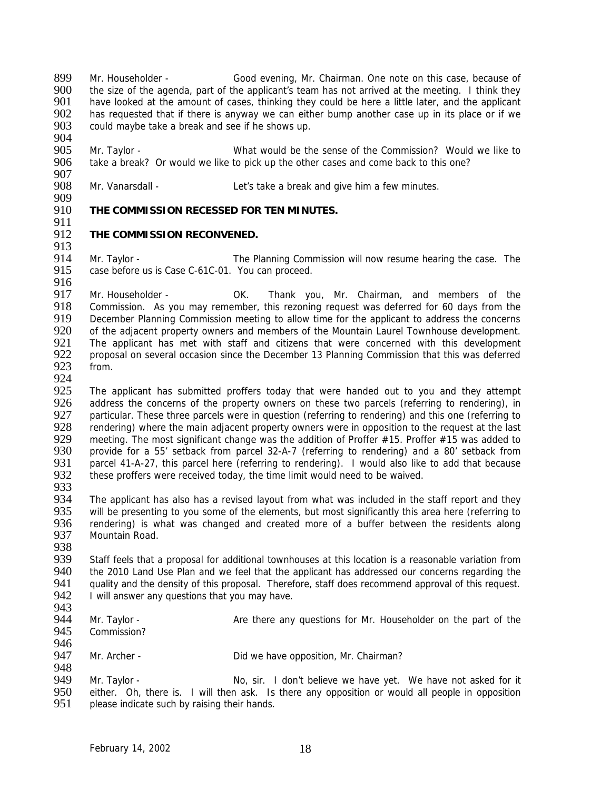899 Mr. Householder - Good evening, Mr. Chairman. One note on this case, because of Sood evening, Mr. Chairman. One note on this case, because of Sood evening, Mr. Chairman. One note on this case, because of  $900$  the size 900 the size of the agenda, part of the applicant's team has not arrived at the meeting. I think they<br>901 bave looked at the amount of cases, thinking they could be here a little later, and the applicant have looked at the amount of cases, thinking they could be here a little later, and the applicant 902 has requested that if there is anyway we can either bump another case up in its place or if we<br>903 could maybe take a break and see if he shows up. could maybe take a break and see if he shows up.

904<br>905 905 Mr. Taylor - What would be the sense of the Commission? Would we like to 906 take a break? Or would we like to pick up the other cases and come back to this one? take a break? Or would we like to pick up the other cases and come back to this one?

907<br>908 Mr. Vanarsdall - Let's take a break and give him a few minutes.

909<br>910

**THE COMMISSION RECESSED FOR TEN MINUTES.** 

#### 911<br>912 **THE COMMISSION RECONVENED.**

913<br>914

914 Mr. Taylor - The Planning Commission will now resume hearing the case. The 915 case before us is Case C-61C-01. You can proceed. case before us is Case C-61C-01. You can proceed.

916<br>917 917 Mr. Householder - OK. Thank you, Mr. Chairman, and members of the 1918 Commission. As you may remember, this rezoning request was deferred for 60 days from the 918 Commission. As you may remember, this rezoning request was deferred for 60 days from the 919 December Planning Commission meeting to allow time for the applicant to address the concerns 919 December Planning Commission meeting to allow time for the applicant to address the concerns 920 of the adiacent property owners and members of the Mountain Laurel Townhouse development. 920 of the adjacent property owners and members of the Mountain Laurel Townhouse development.<br>921 The applicant has met with staff and citizens that were concerned with this development 921 The applicant has met with staff and citizens that were concerned with this development<br>922 proposal on several occasion since the December 13 Planning Commission that this was deferred 922 proposal on several occasion since the December 13 Planning Commission that this was deferred 923 from.

924<br>925 The applicant has submitted proffers today that were handed out to you and they attempt 926 address the concerns of the property owners on these two parcels (referring to rendering), in<br>927 particular. These three parcels were in question (referring to rendering) and this one (referring to particular. These three parcels were in question (referring to rendering) and this one (referring to 928 rendering) where the main adjacent property owners were in opposition to the request at the last 929 meeting. The most significant change was the addition of Proffer  $\#15$ . Proffer  $\#15$  was added to 929 meeting. The most significant change was the addition of Proffer #15. Proffer #15 was added to<br>930 provide for a 55' setback from parcel 32-A-7 (referring to rendering) and a 80' setback from 930 provide for a 55' setback from parcel 32-A-7 (referring to rendering) and a 80' setback from<br>931 parcel 41-A-27, this parcel here (referring to rendering). I would also like to add that because 931 parcel 41-A-27, this parcel here (referring to rendering). I would also like to add that because<br>932 these proffers were received today, the time limit would need to be waived. these proffers were received today, the time limit would need to be waived.

933<br>934 934 The applicant has also has a revised layout from what was included in the staff report and they<br>935 will be presenting to you some of the elements, but most significantly this area here (referring to 935 will be presenting to you some of the elements, but most significantly this area here (referring to 936 rendering) is what was changed and created more of a buffer between the residents along rendering) is what was changed and created more of a buffer between the residents along 937 Mountain Road.

938<br>939 939 Staff feels that a proposal for additional townhouses at this location is a reasonable variation from<br>940 the 2010 Land Use Plan and we feel that the applicant has addressed our concerns regarding the 940 the 2010 Land Use Plan and we feel that the applicant has addressed our concerns regarding the 941 auality and the density of this proposal. Therefore, staff does recommend approval of this request. 941 quality and the density of this proposal. Therefore, staff does recommend approval of this request.<br>942 U will answer any questions that you may have. I will answer any questions that you may have.

943<br>944 944 Mr. Taylor - Are there any questions for Mr. Householder on the part of the 945 Commission? Commission? 946

947 Mr. Archer - Did we have opposition, Mr. Chairman?

948<br>949 949 Mr. Taylor - No, sir. I don't believe we have yet. We have not asked for it<br>950 either. Oh, there is. I will then ask. Is there any opposition or would all people in opposition 950 either. Oh, there is. I will then ask. Is there any opposition or would all people in opposition 951 please indicate such by raising their hands. please indicate such by raising their hands.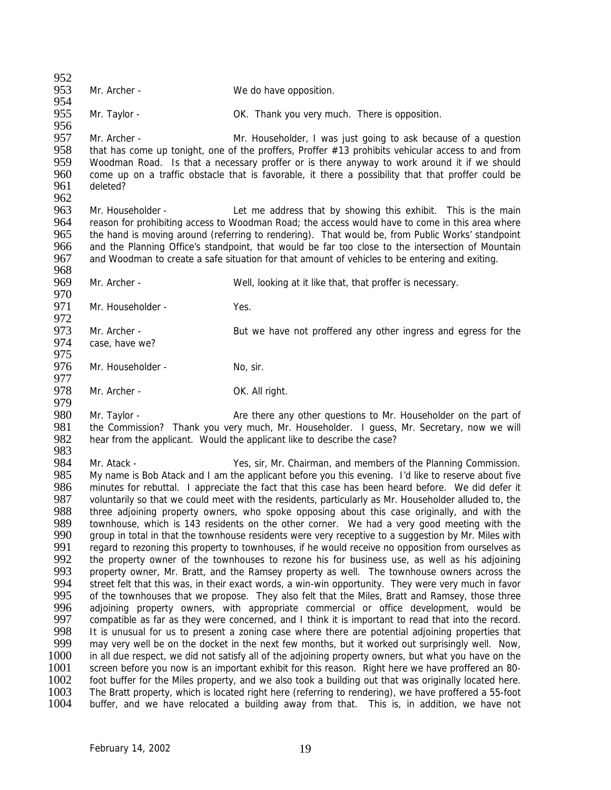$952$ <br>953 Mr. Archer - We do have opposition. 954 955 Mr. Taylor - OK. Thank you very much. There is opposition. 956<br>957 Mr. Archer - Mr. Householder, I was just going to ask because of a question 958 that has come up tonight, one of the proffers, Proffer #13 prohibits vehicular access to and from<br>959 Woodman Road. Is that a necessary proffer or is there anyway to work around it if we should 959 Woodman Road. Is that a necessary proffer or is there anyway to work around it if we should 960 come up on a traffic obstacle that is favorable, it there a possibility that that proffer could be 960 come up on a traffic obstacle that is favorable, it there a possibility that that proffer could be deleted? 962<br>963 963 Mr. Householder - Let me address that by showing this exhibit. This is the main<br>964 reason for prohibiting access to Woodman Road: the access would have to come in this area where reason for prohibiting access to Woodman Road; the access would have to come in this area where 965 the hand is moving around (referring to rendering). That would be, from Public Works' standpoint<br>966 and the Planning Office's standpoint, that would be far too close to the intersection of Mountain 966 and the Planning Office's standpoint, that would be far too close to the intersection of Mountain<br>967 and Woodman to create a safe situation for that amount of vehicles to be entering and exiting. and Woodman to create a safe situation for that amount of vehicles to be entering and exiting. 968 969 Mr. Archer - Well, looking at it like that, that proffer is necessary. 970<br>971 Mr. Householder - Yes. 972<br>973 973 Mr. Archer - But we have not proffered any other ingress and egress for the 974 case have we? case, have we? 975 976 Mr. Householder - No, sir. 977<br>978 Mr. Archer - OK. All right. 979 980 Mr. Taylor - Are there any other questions to Mr. Householder on the part of 981 the Commission? Thank you very much, Mr. Householder. I guess, Mr. Secretary, now we will 982 hear from the applicant. Would the applicant like to describe the case? hear from the applicant. Would the applicant like to describe the case? 983<br>984 984 Mr. Atack - Yes, sir, Mr. Chairman, and members of the Planning Commission.<br>985 My name is Bob Atack and Lam the applicant before you this evening. I'd like to reserve about five 985 My name is Bob Atack and I am the applicant before you this evening. I'd like to reserve about five 986 minutes for rebuttal. I appreciate the fact that this case has been heard before. We did defer it 986 minutes for rebuttal. I appreciate the fact that this case has been heard before. We did defer it 987 voluntarily so that we could meet with the residents, particularly as Mr. Householder alluded to, the 987 voluntarily so that we could meet with the residents, particularly as Mr. Householder alluded to, the 988 three adjoining property owners, who spoke opposing about this case originally, and with the 988 three adjoining property owners, who spoke opposing about this case originally, and with the 989 townhouse, which is 143 residents on the other corner. We had a very good meeting with the townhouse, which is 143 residents on the other corner. We had a very good meeting with the 990 group in total in that the townhouse residents were very receptive to a suggestion by Mr. Miles with 991 reaard to rezoning this property to townhouses, if he would receive no opposition from ourselves as 991 regard to rezoning this property to townhouses, if he would receive no opposition from ourselves as<br>992 the property owner of the townhouses to rezone his for business use, as well as his adioining 992 the property owner of the townhouses to rezone his for business use, as well as his adjoining<br>993 property owner. Mr. Bratt, and the Ramsey property as well. The townhouse owners across the 993 property owner, Mr. Bratt, and the Ramsey property as well. The townhouse owners across the 994 street felt that this was in their exact words a win-win opportunity. They were very much in favor 994 street felt that this was, in their exact words, a win-win opportunity. They were very much in favor<br>995 of the townhouses that we propose. They also felt that the Miles. Bratt and Ramsey, those three 995 of the townhouses that we propose. They also felt that the Miles, Bratt and Ramsey, those three<br>996 adioining property owners, with appropriate commercial or office development, would be 996 adjoining property owners, with appropriate commercial or office development, would be 997 compatible as far as they were concerned, and I think it is important to read that into the record. 997 compatible as far as they were concerned, and I think it is important to read that into the record.<br>998 It is unusual for us to present a zoning case where there are potential adjoining properties that 998 It is unusual for us to present a zoning case where there are potential adjoining properties that <br>999 may very well be on the docket in the next few months, but it worked out surprisingly well. Now, may very well be on the docket in the next few months, but it worked out surprisingly well. Now, 1000 in all due respect, we did not satisfy all of the adjoining property owners, but what you have on the 1001 screen before you now is an important exhibit for this reason. Right here we have proffered an 80-<br>1002 foot buffer for the Miles property, and we also took a building out that was originally located here. 1002 foot buffer for the Miles property, and we also took a building out that was originally located here.<br>1003 The Bratt property, which is located right here (referring to rendering), we have proffered a 55-foot 1003 The Bratt property, which is located right here (referring to rendering), we have proffered a 55-foot 1004 buffer, and we have relocated a building away from that. This is, in addition, we have not buffer, and we have relocated a building away from that. This is, in addition, we have not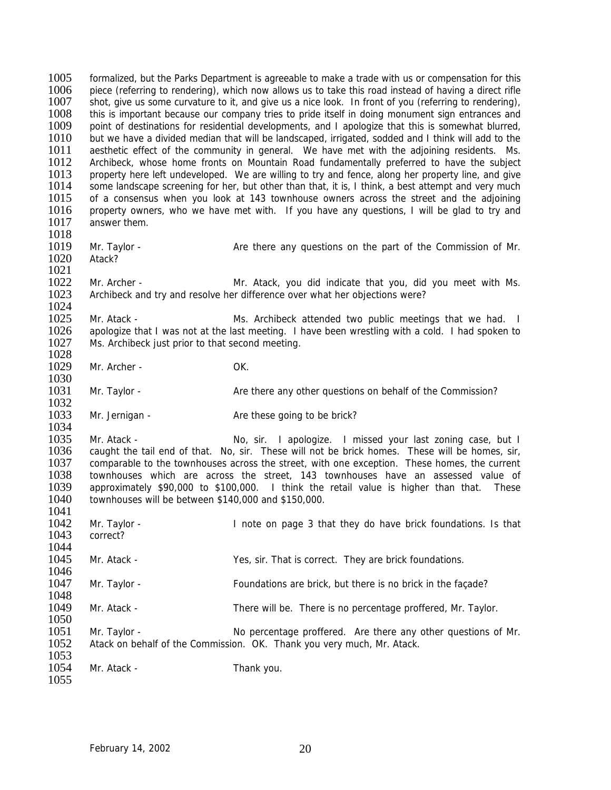1005 formalized, but the Parks Department is agreeable to make a trade with us or compensation for this 1006 piece (referring to rendering) which now allows us to take this road instead of having a direct rifle 1006 piece (referring to rendering), which now allows us to take this road instead of having a direct rifle<br>1007 shot, give us some curvature to it, and give us a nice look. In front of you (referring to rendering), shot, give us some curvature to it, and give us a nice look. In front of you (referring to rendering), 1008 this is important because our company tries to pride itself in doing monument sign entrances and 1009 point of destinations for residential developments, and I apologize that this is somewhat blurred, point of destinations for residential developments, and I apologize that this is somewhat blurred, 1010 but we have a divided median that will be landscaped, irrigated, sodded and I think will add to the 1011 aesthetic effect of the community in general. We have met with the adjoining residents. Ms.<br>1012 Archibeck, whose home fronts on Mountain Road fundamentally preferred to have the subiect 1012 Archibeck, whose home fronts on Mountain Road fundamentally preferred to have the subject 1013 property here left undeveloped. We are willing to try and fence, along her property line, and give 1013 property here left undeveloped. We are willing to try and fence, along her property line, and give 1014 some landscape screening for her, but other than that, it is, I think, a best attempt and very much 1014 some landscape screening for her, but other than that, it is, I think, a best attempt and very much 1015 of a consensus when you look at 143 townhouse owners across the street and the adioining 1015 of a consensus when you look at 143 townhouse owners across the street and the adjoining<br>1016 property owners, who we have met with. If you have any questions. I will be alad to try and 1016 property owners, who we have met with. If you have any questions, I will be glad to try and 1017 answer them answer them. 1018<br>1019 Mr. Taylor - The Are there any questions on the part of the Commission of Mr. 1020 Atack? 1021 1022 Mr. Archer - Mr. Atack, you did indicate that you, did you meet with Ms.<br>1023 Archibeck and try and resolve her difference over what her obiections were? Archibeck and try and resolve her difference over what her objections were? 1024<br>1025 1025 Mr. Atack - Mr. Atack - Ms. Archibeck attended two public meetings that we had. I<br>1026 apologize that I was not at the last meeting. I have been wrestling with a cold. I had spoken to 1026 apologize that I was not at the last meeting. I have been wrestling with a cold. I had spoken to 1027 Ms. Archibeck just prior to that second meeting Ms. Archibeck just prior to that second meeting. 1028 1029 Mr. Archer - OK. 1030 1031 Mr. Taylor - Are there any other questions on behalf of the Commission? 1032 1033 Mr. Jernigan - Are these going to be brick? 1034<br>1035 1035 Mr. Atack - No, sir. I apologize. I missed your last zoning case, but I<br>1036 caught the tail end of that. No, sir. These will not be brick homes. These will be homes, sir. 1036 caught the tail end of that. No, sir. These will not be brick homes. These will be homes, sir, 1037 comparable to the townhouses across the street, with one exception. These homes, the current 1037 comparable to the townhouses across the street, with one exception. These homes, the current 1038 townhouses which are across the street 143 townhouses have an assessed value of 1038 townhouses which are across the street, 143 townhouses have an assessed value of 1039 approximately \$90,000 to \$100,000. I think the retail value is higher than that. These 1039 approximately \$90,000 to \$100,000. I think the retail value is higher than that. These 1040 townhouses will be between \$140,000 and \$150,000. townhouses will be between \$140,000 and \$150,000. 1041<br>1042 Mr. Taylor - **I** note on page 3 that they do have brick foundations. Is that 1043 correct? 1044<br>1045 Mr. Atack - Yes, sir. That is correct. They are brick foundations. 1046<br>1047 1047 Mr. Taylor - Foundations are brick, but there is no brick in the façade? 1048<br>1049 Mr. Atack - There will be. There is no percentage proffered, Mr. Taylor. 1050<br>1051 Mr. Taylor - No percentage proffered. Are there any other questions of Mr. 1052 Atack on behalf of the Commission. OK. Thank you very much, Mr. Atack. 1053 1054 Mr. Atack - Thank you. 1055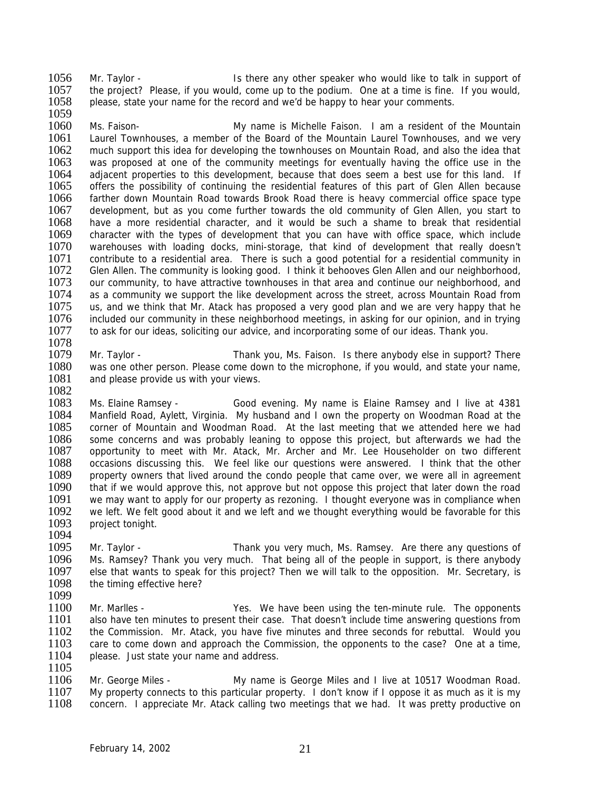1056 Mr. Taylor - Is there any other speaker who would like to talk in support of 1057 the project? Please if you would come up to the podium. One at a time is fine if you would 1057 the project? Please, if you would, come up to the podium. One at a time is fine. If you would, 1058 please, state your name for the record and we'd be happy to hear your comments. please, state your name for the record and we'd be happy to hear your comments.

1059<br>1060 Ms. Faison- The My name is Michelle Faison. I am a resident of the Mountain 1061 Laurel Townhouses, a member of the Board of the Mountain Laurel Townhouses, and we very 1062 much support this idea for developing the townhouses on Mountain Road, and also the idea that 1063 was proposed at one of the community meetings for eventually having the office use in the 1063 was proposed at one of the community meetings for eventually having the office use in the 1064 adiacent properties to this development, because that does seem a best use for this land. If 1064 adjacent properties to this development, because that does seem a best use for this land. If 1065 offers the possibility of continuing the residential features of this part of Glen Allen because 1065 offers the possibility of continuing the residential features of this part of Glen Allen because<br>1066 farther down Mountain Road towards Brook Road there is heavy commercial office space type 1066 farther down Mountain Road towards Brook Road there is heavy commercial office space type<br>1067 development, but as you come further towards the old community of Glen Allen, you start to 1067 development, but as you come further towards the old community of Glen Allen, you start to 1068 have a more residential character and it would be such a shame to break that residential have a more residential character, and it would be such a shame to break that residential 1069 character with the types of development that you can have with office space, which include 1070 warehouses with loading docks, mini-storage, that kind of development that really doesn't warehouses with loading docks, mini-storage, that kind of development that really doesn't 1071 contribute to a residential area. There is such a good potential for a residential community in 1072 Glen Allen. The community is looking good. I think it behooves Glen Allen and our neighborhood, 1073 our community, to have attractive townhouses in that area and continue our neighborhood, and 1074 as a community we support the like development across the street, across Mountain Road from 1074 as a community we support the like development across the street, across Mountain Road from<br>1075 us, and we think that Mr. Atack has proposed a very good plan and we are very happy that he 1075 us, and we think that Mr. Atack has proposed a very good plan and we are very happy that he 1076 included our community in these neighborhood meetings, in asking for our opinion, and in trying 1076 included our community in these neighborhood meetings, in asking for our opinion, and in trying<br>1077 to ask for our ideas, soliciting our advice, and incorporating some of our ideas. Thank you, to ask for our ideas, soliciting our advice, and incorporating some of our ideas. Thank you.

1078<br>1079 Mr. Taylor - Thank you, Ms. Faison. Is there anybody else in support? There 1080 was one other person. Please come down to the microphone, if you would, and state your name, 1081 and please provide us with your views. and please provide us with your views.

1082<br>1083

1083 Ms. Elaine Ramsey - Good evening. My name is Elaine Ramsey and I live at 4381 1084 Manfield Road, Aylett, Virginia. My husband and I own the property on Woodman Road at the 1085 corner of Mountain and Woodman Road. At the last meeting that we attended here we had<br>1086 some concerns and was probably leaning to oppose this project, but afterwards we had the 1086 some concerns and was probably leaning to oppose this project, but afterwards we had the 1087 opportunity to meet with Mr. Atack, Mr. Archer and Mr. Lee Householder on two different 1087 opportunity to meet with Mr. Atack, Mr. Archer and Mr. Lee Householder on two different 1088 occasions discussing this. We feel like our questions were answered. I think that the other 1088 occasions discussing this. We feel like our questions were answered. I think that the other 1089 property owners that lived around the condo people that came over we were all in agreement 1089 property owners that lived around the condo people that came over, we were all in agreement 1090 that if we would approve this, not approve but not oppose this project that later down the road 1090 that if we would approve this, not approve but not oppose this project that later down the road<br>1091 ve may want to apply for our property as rezoning. I thought everyone was in compliance when we may want to apply for our property as rezoning. I thought everyone was in compliance when 1092 we left. We felt good about it and we left and we thought everything would be favorable for this 1093 project tonight. project tonight.

1095 Mr. Taylor - Thank you very much, Ms. Ramsey. Are there any questions of 1096 Ms. Ramsey? Thank you very much. That being all of the people in support, is there anybody 1096 Ms. Ramsey? Thank you very much. That being all of the people in support, is there anybody<br>1097 else that wants to speak for this project? Then we will talk to the opposition. Mr. Secretary, is 1097 else that wants to speak for this project? Then we will talk to the opposition. Mr. Secretary, is 1098 the timing effective here? the timing effective here?

1099<br>1100

1094

1100 Mr. Marlles - Yes. We have been using the ten-minute rule. The opponents 1101 also have ten minutes to present their case. That doesn't include time answering questions from also have ten minutes to present their case. That doesn't include time answering questions from 1102 the Commission. Mr. Atack, you have five minutes and three seconds for rebuttal. Would you 1103 care to come down and approach the Commission, the opponents to the case? One at a time, 1104 please. Just state your name and address.

1105<br>1106 1106 Mr. George Miles - My name is George Miles and I live at 10517 Woodman Road.<br>1107 My property connects to this particular property. I don't know if I oppose it as much as it is my 1107 My property connects to this particular property. I don't know if I oppose it as much as it is my 1108 concern. I appreciate Mr. Atack calling two meetings that we had. It was pretty productive on concern. I appreciate Mr. Atack calling two meetings that we had. It was pretty productive on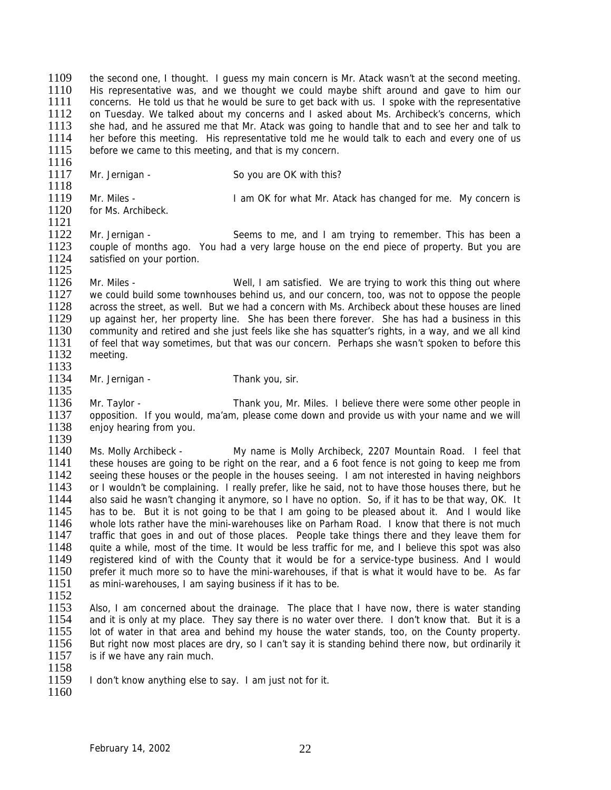1109 the second one, I thought. I guess my main concern is Mr. Atack wasn't at the second meeting.<br>1110 His representative was and we thought we could maybe shift around and gave to him our 1110 His representative was, and we thought we could maybe shift around and gave to him our 1111 concerns. He told us that he would be sure to get back with us. I spoke with the representative concerns. He told us that he would be sure to get back with us. I spoke with the representative 1112 on Tuesday. We talked about my concerns and I asked about Ms. Archibeck's concerns, which<br>1113 she had, and he assured me that Mr. Atack was going to handle that and to see her and talk to she had, and he assured me that Mr. Atack was going to handle that and to see her and talk to 1114 her before this meeting. His representative told me he would talk to each and every one of us 1115 before we came to this meeting, and that is my concern.

1116<br>1117 Mr. Jernigan - So you are OK with this? 1118<br>1119 1119 Mr. Miles - I am OK for what Mr. Atack has changed for me. My concern is 1120 for Ms. Archibeck. for Ms. Archibeck.

1122 Mr. Jernigan - Seems to me, and I am trying to remember. This has been a<br>1123 couple of months ago. You had a very large house on the end piece of property. But you are couple of months ago. You had a very large house on the end piece of property. But you are 1124 satisfied on your portion. 1125

1126 Mr. Miles - Well, I am satisfied. We are trying to work this thing out where<br>1127 we could build some townhouses behind us, and our concern, too, was not to oppose the people 1127 we could build some townhouses behind us, and our concern, too, was not to oppose the people 1128 across the street, as well. But we had a concern with Ms. Archibeck about these houses are lined 1128 across the street, as well. But we had a concern with Ms. Archibeck about these houses are lined<br>1129 up against her, her property line. She has been there forever. She has had a business in this 1129 up against her, her property line. She has been there forever. She has had a business in this 1130 community and retired and she just feels like she has squatter's rights, in a way, and we all kind 1130 community and retired and she just feels like she has squatter's rights, in a way, and we all kind<br>1131 of feel that way sometimes but that was our concern. Perhaps she wasn't spoken to before this 1131 of feel that way sometimes, but that was our concern. Perhaps she wasn't spoken to before this<br>1132 meeting. meeting.

1133<br>1134 Mr. Jernigan - Thank you, sir. 1135

1136 Mr. Taylor - Thank you, Mr. Miles. I believe there were some other people in 1137 opposition. If you would, ma'am, please come down and provide us with your name and we will 1138 enjoy hearing from you.

1139<br>1140 1140 Ms. Molly Archibeck - My name is Molly Archibeck, 2207 Mountain Road. I feel that 1141 these houses are going to be right on the rear and a 6 foot fence is not going to keep me from 1141 these houses are going to be right on the rear, and a 6 foot fence is not going to keep me from<br>1142 seeing these houses or the people in the houses seeing. I am not interested in having neighbors 1142 seeing these houses or the people in the houses seeing. I am not interested in having neighbors<br>1143 or I wouldn't be complaining. I really prefer, like he said, not to have those houses there, but he 1143 or I wouldn't be complaining. I really prefer, like he said, not to have those houses there, but he 1144 also said he wasn't changing it anymore, so I have no option. So, if it has to be that way, OK. It also said he wasn't changing it anymore, so I have no option. So, if it has to be that way, OK. It 1145 has to be. But it is not going to be that I am going to be pleased about it. And I would like 1146 whole lots rather have the mini-warehouses like on Parham Road. I know that there is not much whole lots rather have the mini-warehouses like on Parham Road. I know that there is not much 1147 traffic that goes in and out of those places. People take things there and they leave them for 1148 quite a while, most of the time. It would be less traffic for me, and I believe this spot was also<br>1149 registered kind of with the County that it would be for a service-type business. And I would 1149 registered kind of with the County that it would be for a service-type business. And I would 1150 prefer it much more so to have the mini-warehouses, if that is what it would have to be. As far 1150 prefer it much more so to have the mini-warehouses, if that is what it would have to be. As far 1151 as mini-warehouses. I am saving business if it has to be. as mini-warehouses, I am saying business if it has to be.

 $\frac{1152}{1153}$ 

1121

1153 Also, I am concerned about the drainage. The place that I have now, there is water standing 1154 and it is only at my place. They say there is no water over there. I don't know that. But it is a 1154 and it is only at my place. They say there is no water over there. I don't know that. But it is a 1155 lot of water in that area and behind my house the water stands, too, on the County property. lot of water in that area and behind my house the water stands, too, on the County property. 1156 But right now most places are dry, so I can't say it is standing behind there now, but ordinarily it 1157 is if we have any rain much.

1158<br>1159 I don't know anything else to say. I am just not for it.

1160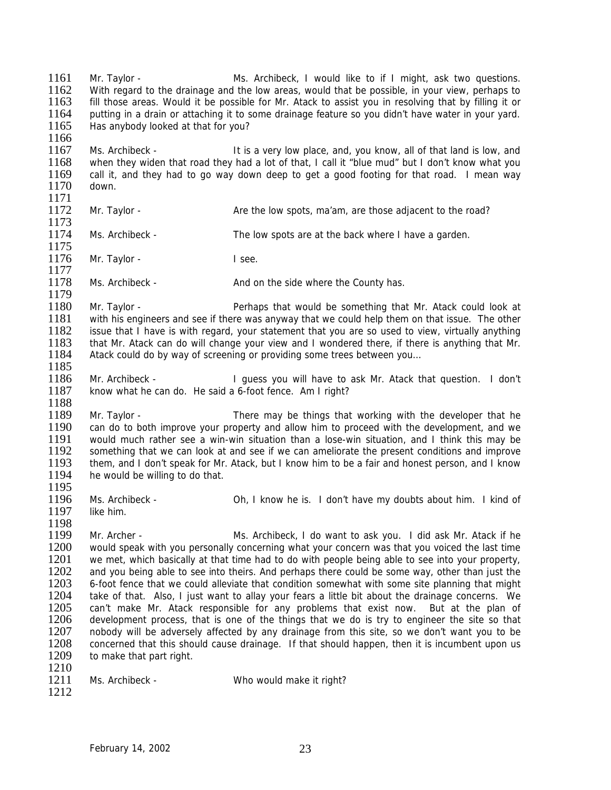1161 Mr. Taylor - Ms. Archibeck, I would like to if I might, ask two questions.<br>1162 With regard to the drainage and the low areas would that be possible in your view perhaps to 1162 With regard to the drainage and the low areas, would that be possible, in your view, perhaps to 1163 fill those areas. Would it be possible for Mr. Atack to assist you in resolving that by filling it or fill those areas. Would it be possible for Mr. Atack to assist you in resolving that by filling it or 1164 putting in a drain or attaching it to some drainage feature so you didn't have water in your yard.<br>1165 Has anybody looked at that for you? Has anybody looked at that for you? 1166 1167 Ms. Archibeck - It is a very low place, and, you know, all of that land is low, and 1168 when they widen that road they had a lot of that. I call it "blue mud" but I don't know what you 1168 when they widen that road they had a lot of that, I call it "blue mud" but I don't know what you<br>1169 call it, and they had to go way down deep to get a good footing for that road. I mean way 1169 call it, and they had to go way down deep to get a good footing for that road. I mean way 1170 down. down. 1171<br>1172 Mr. Taylor - Are the low spots, ma'am, are those adjacent to the road? 1173 1174 Ms. Archibeck - The low spots are at the back where I have a garden. 1175 1176 Mr. Taylor - I see. 1177 1178 Ms. Archibeck - And on the side where the County has. 1179<br>1180 1180 Mr. Taylor - Perhaps that would be something that Mr. Atack could look at Perhaps that would be something that Mr. Atack could look at 1181 with his engineers and see if there was anyway that we could help them on tha 1181 with his engineers and see if there was anyway that we could help them on that issue. The other 1182 issue that I have is with regard, your statement that you are so used to view, virtually anything 1182 issue that I have is with regard, your statement that you are so used to view, virtually anything<br>1183 that Mr. Atack can do will change your view and I wondered there if there is anything that Mr. 1183 that Mr. Atack can do will change your view and I wondered there, if there is anything that Mr.<br>1184 Atack could do by way of screening or providing some trees between you... Atack could do by way of screening or providing some trees between you... 1185<br>1186 Mr. Archibeck - I guess you will have to ask Mr. Atack that question. I don't 1187 know what he can do. He said a 6-foot fence. Am I right? 1188 1189 Mr. Taylor - There may be things that working with the developer that he 1190 can do to both improve your property and allow him to proceed with the development, and we<br>1191 vould much rather see a win-win situation than a lose-win situation, and I think this may be 1191 would much rather see a win-win situation than a lose-win situation, and I think this may be 1192 something that we can look at and see if we can ameliorate the present conditions and improve 1192 something that we can look at and see if we can ameliorate the present conditions and improve<br>1193 them, and I don't speak for Mr. Atack, but I know him to be a fair and honest person, and I know 1193 them, and I don't speak for Mr. Atack, but I know him to be a fair and honest person, and I know 1194 be willing to do that. he would be willing to do that. 1195<br>1196 Ms. Archibeck - Oh, I know he is. I don't have my doubts about him. I kind of 1197 like him. 1198 1199 Mr. Archer - Ms. Archibeck, I do want to ask you. I did ask Mr. Atack if he 1200 would speak with you personally concerning what your concern was that you voiced the last time<br>1201 ve met, which basically at that time had to do with people being able to see into your property. 1201 we met, which basically at that time had to do with people being able to see into your property,<br>1202 and you being able to see into theirs. And perhaps there could be some way, other than just the 1202 and you being able to see into theirs. And perhaps there could be some way, other than just the 1203 6-foot fence that we could alleviate that condition somewhat with some site planning that might 1203 6-foot fence that we could alleviate that condition somewhat with some site planning that might 1204 take of that Also Liust want to allay your fears a little bit about the drainage concerns. We 1204 take of that. Also, I just want to allay your fears a little bit about the drainage concerns. We 1205 can't make Mr. Atack responsible for any problems that exist now. But at the plan of 1205 can't make Mr. Atack responsible for any problems that exist now. But at the plan of 1206 development process, that is one of the things that we do is try to engineer the site so that 1206 development process, that is one of the things that we do is try to engineer the site so that 1207 nobody will be adversely affected by any drainage from this site, so we don't want you to be 1207 nobody will be adversely affected by any drainage from this site, so we don't want you to be 1208 concerned that this should cause drainage. If that should happen, then it is incumbent upon us 1209 to make that part right.  $\frac{1210}{1211}$ Ms. Archibeck - Who would make it right? 1212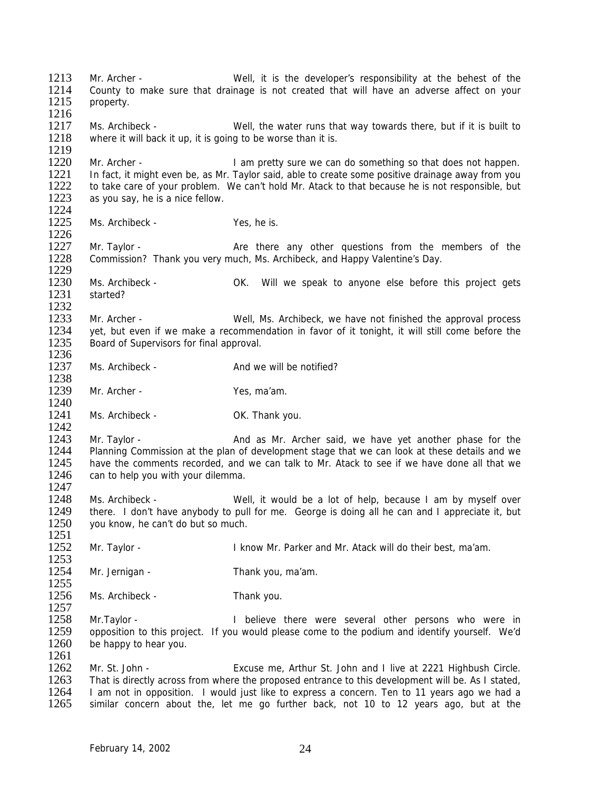1213 Mr. Archer - Well, it is the developer's responsibility at the behest of the 1214 County to make sure that drainage is not created that will have an adverse affect on your 1214 County to make sure that drainage is not created that will have an adverse affect on your 1215 property property. 1216<br>1217 Ms. Archibeck - Well, the water runs that way towards there, but if it is built to 1218 where it will back it up, it is going to be worse than it is. 1219<br>1220 1220 Mr. Archer - I am pretty sure we can do something so that does not happen.<br>1221 In fact, it might even be, as Mr. Taylor said, able to create some positive drainage away from you 1221 In fact, it might even be, as Mr. Taylor said, able to create some positive drainage away from you<br>1222 to take care of your problem. We can't hold Mr. Atack to that because he is not responsible, but 1222 to take care of your problem. We can't hold Mr. Atack to that because he is not responsible, but 1223 as you say, he is a nice fellow. as you say, he is a nice fellow. 1224<br>1225 1225 Ms. Archibeck - Yes, he is. 1226<br>1227 Mr. Taylor - The Are there any other questions from the members of the 1228 Commission? Thank you very much, Ms. Archibeck, and Happy Valentine's Day. 1229 1230 Ms. Archibeck - OK. Will we speak to anyone else before this project gets 1231 started? started?  $\frac{1232}{1233}$ 1233 Mr. Archer - Well, Ms. Archibeck, we have not finished the approval process<br>1234 vet, but even if we make a recommendation in favor of it tonight, it will still come before the 1234 yet, but even if we make a recommendation in favor of it tonight, it will still come before the 1235 Board of Supervisors for final approval Board of Supervisors for final approval. 1236 1237 Ms. Archibeck - And we will be notified? 1238<br>1239 Mr. Archer - Yes, ma'am. 1240 1241 Ms. Archibeck - OK. Thank you. 1242<br>1243 1243 Mr. Taylor - And as Mr. Archer said, we have yet another phase for the 1244 Planning Commission at the plan of development stage that we can look at these details and we 1244 Planning Commission at the plan of development stage that we can look at these details and we<br>1245 bave the comments recorded and we can talk to Mr. Atack to see if we have done all that we 1245 have the comments recorded, and we can talk to Mr. Atack to see if we have done all that we<br>1246 can to help you with your dilemma can to help you with your dilemma. 1247<br>1248 Ms. Archibeck - Well, it would be a lot of help, because I am by myself over 1249 there. I don't have anybody to pull for me. George is doing all he can and I appreciate it, but 1250 vou know, he can't do but so much. you know, he can't do but so much. 1251<br>1252 Mr. Taylor - **I** know Mr. Parker and Mr. Atack will do their best, ma'am. 1253<br>1254 Mr. Jernigan - Thank you, ma'am.  $\frac{1255}{1256}$ Ms. Archibeck - Thank you.  $\frac{1257}{1258}$ 1258 Mr.Taylor - I believe there were several other persons who were in 1259 opposition to this project. If you would please come to the podium and identify yourself. We'd opposition to this project. If you would please come to the podium and identify yourself. We'd 1260 be happy to hear you. 1261 1262 Mr. St. John - Excuse me, Arthur St. John and I live at 2221 Highbush Circle.<br>1263 That is directly across from where the proposed entrance to this development will be. As I stated. 1263 That is directly across from where the proposed entrance to this development will be. As I stated, 1264 I am not in opposition. I would just like to express a concern. Ten to 11 years ago we had a 1264 I am not in opposition. I would just like to express a concern. Ten to 11 years ago we had a<br>1265 similar concern about the, let me go further back, not 10 to 12 years ago, but at the similar concern about the, let me go further back, not 10 to 12 years ago, but at the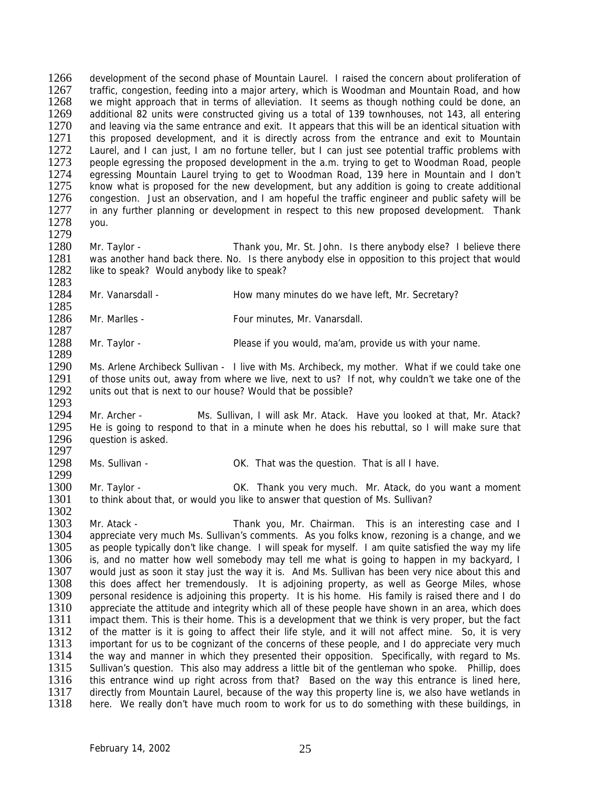1266 development of the second phase of Mountain Laurel. I raised the concern about proliferation of 1267 traffic congestion feeding into a major artery which is Woodman and Mountain Road, and how 1267 traffic, congestion, feeding into a major artery, which is Woodman and Mountain Road, and how<br>1268 ve might approach that in terms of alleviation. It seems as though nothing could be done, an we might approach that in terms of alleviation. It seems as though nothing could be done, an 1269 additional 82 units were constructed giving us a total of 139 townhouses, not 143, all entering<br>1270 and leaving via the same entrance and exit. It appears that this will be an identical situation with 1270 and leaving via the same entrance and exit. It appears that this will be an identical situation with 1271 this proposed development, and it is directly across from the entrance and exit to Mountain this proposed development, and it is directly across from the entrance and exit to Mountain 1272 Laurel, and I can just, I am no fortune teller, but I can just see potential traffic problems with 1273 people earessing the proposed development in the a.m. trying to get to Woodman Road, people 1273 people egressing the proposed development in the a.m. trying to get to Woodman Road, people 1274 egressing Mountain Laurel trying to get to Woodman Road and I don't 1274 egressing Mountain Laurel trying to get to Woodman Road, 139 here in Mountain and I don't 1275 know what is proposed for the new development, but any addition is aging to create additional 1275 know what is proposed for the new development, but any addition is going to create additional 1276 concestion. Just an observation, and I am hopeful the traffic engineer and public safety will be 1276 congestion. Just an observation, and I am hopeful the traffic engineer and public safety will be 1277 in any further planning or development in respect to this new proposed development. Thank in any further planning or development in respect to this new proposed development. Thank 1278 you.

1279

1289

Mr. Taylor - Thank you, Mr. St. John. Is there anybody else? I believe there 1281 was another hand back there. No. Is there anybody else in opposition to this project that would 1282 like to speak? Would anybody like to speak? like to speak? Would anybody like to speak?

1283<br>1284 Mr. Vanarsdall - The How many minutes do we have left, Mr. Secretary?

1285<br>1286 Mr. Marlles - The Four minutes, Mr. Vanarsdall.

1287<br>1288 Mr. Taylor - **Example 2088** Mr. Taylor - Please if you would, ma'am, provide us with your name.

1290 Ms. Arlene Archibeck Sullivan - I live with Ms. Archibeck, my mother. What if we could take one 1291 of those units out, away from where we live, next to us? If not, why couldn't we take one of the 1291 of those units out, away from where we live, next to us? If not, why couldn't we take one of the 1292 units out that is next to our house? Would that be possible? units out that is next to our house? Would that be possible?

1293<br>1294 Mr. Archer - Ms. Sullivan, I will ask Mr. Atack. Have you looked at that, Mr. Atack? 1295 He is going to respond to that in a minute when he does his rebuttal, so I will make sure that 1296 auestion is asked. question is asked.

1297<br>1298 Ms. Sullivan - That was the question. That is all I have.

1299<br>1300 1300 Mr. Taylor - OK. Thank you very much. Mr. Atack, do you want a moment 1301 to think about that, or would you like to answer that question of Ms. Sullivan? to think about that, or would you like to answer that question of Ms. Sullivan?

1302<br>1303 1303 Mr. Atack - Thank you, Mr. Chairman. This is an interesting case and I 1304 appreciate very much Ms. Sullivan's comments. As you folks know, rezoning is a change, and we 1305 as people typically don't like change. I will speak for myself. I am quite satisfied the way my life 1306 is, and no matter how well somebody may tell me what is going to happen in my backvard. I 1306 is, and no matter how well somebody may tell me what is going to happen in my backyard, I<br>1307 vould just as soon it stay just the way it is. And Ms. Sullivan has been very nice about this and 1307 would just as soon it stay just the way it is. And Ms. Sullivan has been very nice about this and<br>1308 this does affect her tremendously. It is adioining property, as well as George Miles, whose 1308 this does affect her tremendously. It is adjoining property, as well as George Miles, whose<br>1309 personal residence is adjoining this property. It is his home. His family is raised there and I do 1309 personal residence is adjoining this property. It is his home. His family is raised there and I do 1310 appreciate the attitude and integrity which all of these people have shown in an area, which does 1310 appreciate the attitude and integrity which all of these people have shown in an area, which does<br>1311 impact them. This is their home. This is a development that we think is very proper, but the fact 1311 impact them. This is their home. This is a development that we think is very proper, but the fact 1312 of the matter is it is going to affect their life style, and it will not affect mine. So, it is very of the matter is it is going to affect their life style, and it will not affect mine. So, it is very 1313 important for us to be cognizant of the concerns of these people, and I do appreciate very much 1314 the way and manner in which they presented their opposition. Specifically, with regard to Ms. 1315 Sullivan's question. This also may address a little bit of the gentleman who spoke. Phillip, does<br>1316 this entrance wind up right across from that? Based on the way this entrance is lined here. 1316 this entrance wind up right across from that? Based on the way this entrance is lined here,<br>1317 directly from Mountain Laurel, because of the way this property line is, we also have wetlands in 1317 directly from Mountain Laurel, because of the way this property line is, we also have wetlands in 1318 here. We really don't have much room to work for us to do something with these buildings, in here. We really don't have much room to work for us to do something with these buildings, in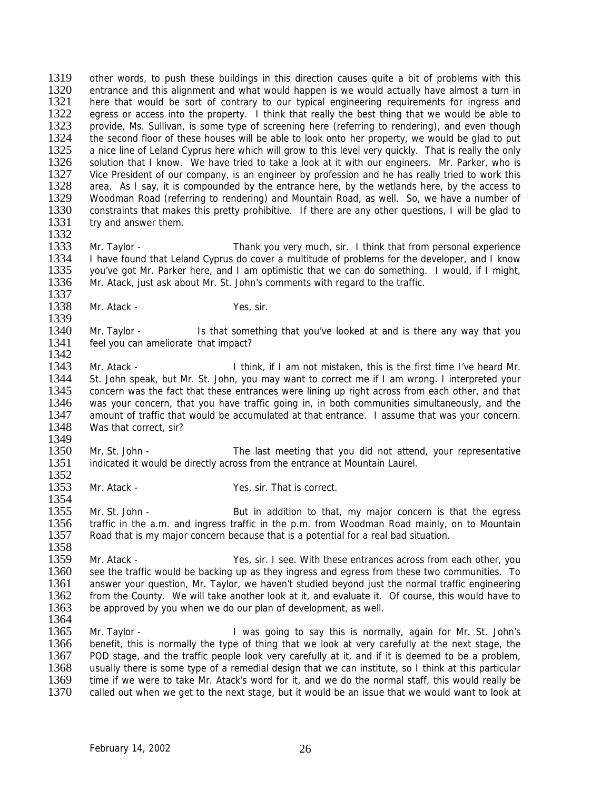1319 other words, to push these buildings in this direction causes quite a bit of problems with this<br>1320 entrance and this alignment and what would happen is we would actually have almost a turn in 1320 entrance and this alignment and what would happen is we would actually have almost a turn in<br>1321 bere that would be sort of contrary to our typical engineering requirements for ingress and here that would be sort of contrary to our typical engineering requirements for ingress and 1322 egress or access into the property. I think that really the best thing that we would be able to 1323 provide, Ms. Sullivan, is some type of screening here (referring to rendering), and even though 1323 provide, Ms. Sullivan, is some type of screening here (referring to rendering), and even though<br>1324 the second floor of these houses will be able to look onto her property, we would be alad to put 1324 the second floor of these houses will be able to look onto her property, we would be glad to put 1325 a nice line of Leland Cyprus here which will grow to this level very quickly. That is really the only 1325 a nice line of Leland Cyprus here which will grow to this level very quickly. That is really the only 1326 solution that I know. We have tried to take a look at it with our engineers. Mr. Parker, who is 1326 solution that I know. We have tried to take a look at it with our engineers. Mr. Parker, who is 1327 Vice President of our company, is an engineer by profession and he has really tried to work this 1327 Vice President of our company, is an engineer by profession and he has really tried to work this 1328 area. As I say, it is compounded by the entrance here, by the wetlands here, by the access to 1328 area. As I say, it is compounded by the entrance here, by the wetlands here, by the access to 1329 Woodman Road (referring to rendering) and Mountain Road, as well. So, we have a number of 1329 Woodman Road (referring to rendering) and Mountain Road, as well. So, we have a number of 1330 constraints that makes this pretty prohibitive. If there are any other questions. I will be glad to 1330 constraints that makes this pretty prohibitive. If there are any other questions, I will be glad to 1331 try and answer them. try and answer them.

- 1332<br>1333 1333 Mr. Taylor - Thank you very much, sir. I think that from personal experience<br>1334 I have found that Leland Cyprus do cover a multitude of problems for the developer, and I know 1334 I have found that Leland Cyprus do cover a multitude of problems for the developer, and I know<br>1335 vou've got Mr. Parker here, and I am optimistic that we can do something. I would, if I might, you've got Mr. Parker here, and I am optimistic that we can do something. I would, if I might, 1336 Mr. Atack, just ask about Mr. St. John's comments with regard to the traffic.
- 1337<br>1338 Mr. Atack - Yes, sir.
- 1339<br>1340 1340 Mr. Taylor - Is that something that you've looked at and is there any way that you<br>1341 Feel you can ameliorate that impact? feel you can ameliorate that impact? 1342
- 1343 Mr. Atack I think, if I am not mistaken, this is the first time I've heard Mr.<br>1344 St. John speak, but Mr. St. John, you may want to correct me if I am wrong. I interpreted your 1344 St. John speak, but Mr. St. John, you may want to correct me if I am wrong. I interpreted your 1345 concern was the fact that these entrances were lining up right across from each other, and that concern was the fact that these entrances were lining up right across from each other, and that 1346 was your concern, that you have traffic going in, in both communities simultaneously, and the 1347 amount of traffic that would be accumulated at that entrance. I assume that was your concern. 1348 Was that correct, sir?
- 1349<br>1350 1350 Mr. St. John - The last meeting that you did not attend, your representative 1351 indicated it would be directly across from the entrance at Mountain Laurel. indicated it would be directly across from the entrance at Mountain Laurel.
- 1352<br>1353 Mr. Atack - Yes, sir. That is correct.

1354<br>1355 Mr. St. John - But in addition to that, my major concern is that the egress 1356 traffic in the a.m. and ingress traffic in the p.m. from Woodman Road mainly, on to Mountain 1357 Road that is my major concern because that is a potential for a real bad situation.

- 1358<br>1359 1359 Mr. Atack - Yes, sir. I see. With these entrances across from each other, you<br>1360 see the traffic would be backing up as they ingress and egress from these two communities. To 1360 see the traffic would be backing up as they ingress and egress from these two communities. To 1361 answer your question. Mr. Taylor, we haven't studied beyond just the normal traffic engineering 1361 answer your question, Mr. Taylor, we haven't studied beyond just the normal traffic engineering<br>1362 from the County We will take another look at it and evaluate it. Of course this would have to 1362 from the County. We will take another look at it, and evaluate it. Of course, this would have to 1363 be approved by you when we do our plan of development, as well. be approved by you when we do our plan of development, as well.
- 1364<br>1365
- Mr. Taylor **I** was going to say this is normally, again for Mr. St. John's 1366 benefit, this is normally the type of thing that we look at very carefully at the next stage, the 1367 POD stage, and the traffic people look very carefully at it, and if it is deemed to be a problem, 1368 usually there is some type of a remedial design that we can institute, so I think at this particular 1369 time if we were to take Mr. Atack's word for it, and we do the normal staff, this would really be 1369 time if we were to take Mr. Atack's word for it, and we do the normal staff, this would really be 1370 called out when we get to the next stage, but it would be an issue that we would want to look at called out when we get to the next stage, but it would be an issue that we would want to look at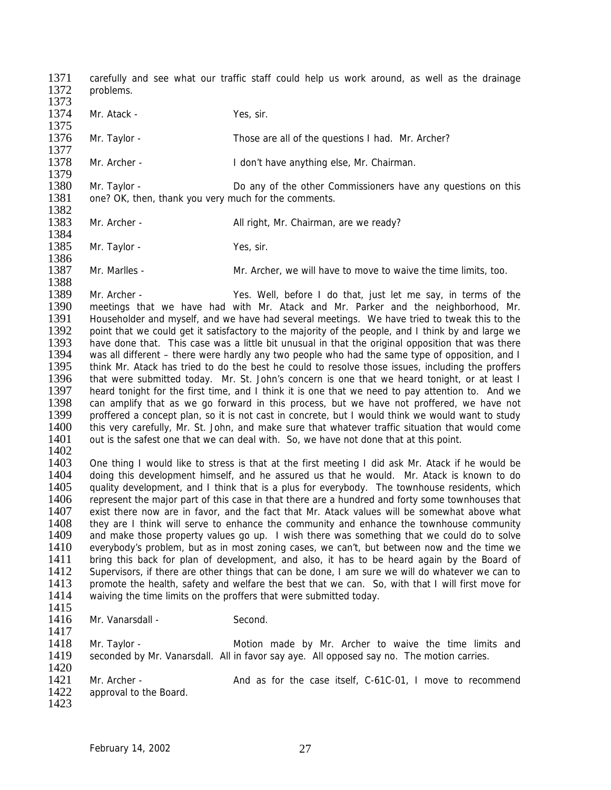1371 carefully and see what our traffic staff could help us work around, as well as the drainage 1372 problems problems. 1373 1374 Mr. Atack - Yes, sir. 1375 1376 Mr. Taylor - Those are all of the questions I had. Mr. Archer? 1377<br>1378 Mr. Archer - I don't have anything else, Mr. Chairman. 1379<br>1380 1380 Mr. Taylor - Do any of the other Commissioners have any questions on this 1381 one? OK, then, thank you very much for the comments. one? OK, then, thank you very much for the comments. 1382<br>1383 Mr. Archer - All right, Mr. Chairman, are we ready? 1384<br>1385 Mr. Taylor - Yes, sir. 1386 1387 Mr. Marlles - Mr. Archer, we will have to move to waive the time limits, too. 1388<br>1389 1389 Mr. Archer - Yes. Well, before I do that, just let me say, in terms of the 1390 meetings that we have had with Mr. Atack and Mr. Parker and the neighborhood, Mr. 1390 meetings that we have had with Mr. Atack and Mr. Parker and the neighborhood, Mr.<br>1391 Householder and myself, and we have had several meetings. We have tried to tweak this to the 1391 Householder and myself, and we have had several meetings. We have tried to tweak this to the 1392 point that we could get it satisfactory to the majority of the people, and I think by and large we 1392 point that we could get it satisfactory to the majority of the people, and I think by and large we<br>1393 bave done that This case was a little bit unusual in that the original opposition that was there 1393 have done that. This case was a little bit unusual in that the original opposition that was there 1394 was all different – there were hardly any two people who had the same type of opposition, and I was all different – there were hardly any two people who had the same type of opposition, and I 1395 think Mr. Atack has tried to do the best he could to resolve those issues, including the proffers 1396 that were submitted today. Mr. St. John's concern is one that we heard tonight, or at least I 1396 that were submitted today. Mr. St. John's concern is one that we heard tonight, or at least I<br>1397 heard tonight for the first time, and I think it is one that we need to pay attention to. And we heard tonight for the first time, and I think it is one that we need to pay attention to. And we 1398 can amplify that as we go forward in this process, but we have not proffered, we have not 1399 proffered a concept plan, so it is not cast in concrete, but I would think we would want to study proffered a concept plan, so it is not cast in concrete, but I would think we would want to study 1400 this very carefully, Mr. St. John, and make sure that whatever traffic situation that would come 1401 out is the safest one that we can deal with. So, we have not done that at this point. out is the safest one that we can deal with. So, we have not done that at this point. 1402<br>1403 1403 One thing I would like to stress is that at the first meeting I did ask Mr. Atack if he would be 1404 doing this development himself and he assured us that he would. Mr. Atack is known to do 1404 doing this development himself, and he assured us that he would. Mr. Atack is known to do 1405 quality development, and I think that is a plus for everybody. The townhouse residents, which 1405 quality development, and I think that is a plus for everybody. The townhouse residents, which<br>1406 represent the major part of this case in that there are a hundred and forty some townhouses that represent the major part of this case in that there are a hundred and forty some townhouses that 1407 exist there now are in favor, and the fact that Mr. Atack values will be somewhat above what 1408 they are I think will serve to enhance the community and enhance the townhouse community they are I think will serve to enhance the community and enhance the townhouse community 1409 and make those property values go up. I wish there was something that we could do to solve 1410 everybody's problem, but as in most zoning cases, we can't, but between now and the time we<br>1411 bring this back for plan of development, and also, it has to be heard again by the Board of 1411 bring this back for plan of development, and also, it has to be heard again by the Board of 1412 Supervisors, if there are other things that can be done. I am sure we will do whatever we can to 1412 Supervisors, if there are other things that can be done, I am sure we will do whatever we can to 1413 promote the health, safety and welfare the best that we can. So, with that I will first move for 1413 promote the health, safety and welfare the best that we can. So, with that I will first move for 1414 waiving the time limits on the proffers that were submitted today waiving the time limits on the proffers that were submitted today. 1415<br>1416 Mr. Vanarsdall - Second. 1417 1418 Mr. Taylor - Motion made by Mr. Archer to waive the time limits and 1419 seconded by Mr. Vanarsdall. All in favor say aye. All opposed say no. The motion carries. 1420<br>1421 1421 Mr. Archer - And as for the case itself, C-61C-01, I move to recommend 1422 approval to the Board. approval to the Board. 1423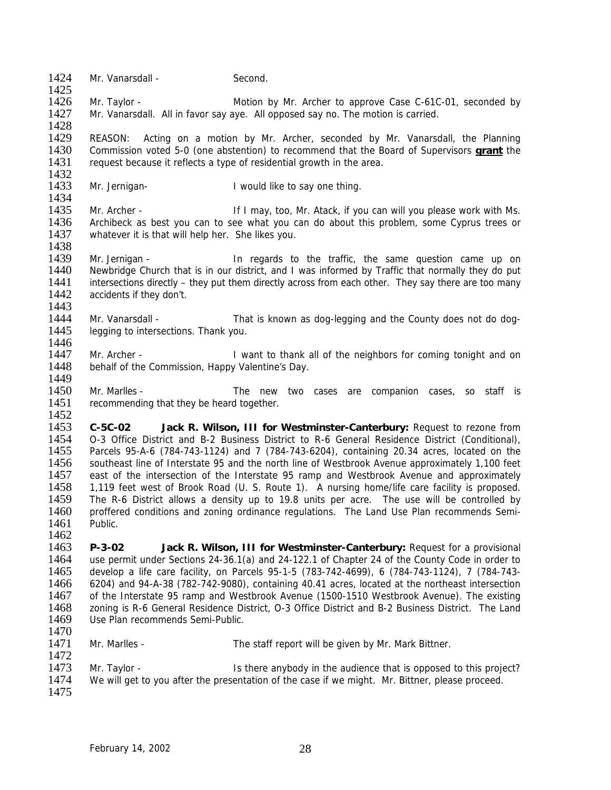| 1424<br>1425                                                                 | Mr. Vanarsdall -                                                                                                                                                                                                                                                                                                                                                                                                                                                                                                                                                                                                                  | Second.                                                                                                                                                                                                                                                                                                                                                                                                                                                                                                                                                                                                                                                                                                                                                            |  |  |
|------------------------------------------------------------------------------|-----------------------------------------------------------------------------------------------------------------------------------------------------------------------------------------------------------------------------------------------------------------------------------------------------------------------------------------------------------------------------------------------------------------------------------------------------------------------------------------------------------------------------------------------------------------------------------------------------------------------------------|--------------------------------------------------------------------------------------------------------------------------------------------------------------------------------------------------------------------------------------------------------------------------------------------------------------------------------------------------------------------------------------------------------------------------------------------------------------------------------------------------------------------------------------------------------------------------------------------------------------------------------------------------------------------------------------------------------------------------------------------------------------------|--|--|
| 1426                                                                         | Mr. Taylor -                                                                                                                                                                                                                                                                                                                                                                                                                                                                                                                                                                                                                      | Motion by Mr. Archer to approve Case C-61C-01, seconded by                                                                                                                                                                                                                                                                                                                                                                                                                                                                                                                                                                                                                                                                                                         |  |  |
| 1427<br>1428                                                                 |                                                                                                                                                                                                                                                                                                                                                                                                                                                                                                                                                                                                                                   | Mr. Vanarsdall. All in favor say aye. All opposed say no. The motion is carried.                                                                                                                                                                                                                                                                                                                                                                                                                                                                                                                                                                                                                                                                                   |  |  |
| 1429<br>1430<br>1431                                                         | REASON:<br>Acting on a motion by Mr. Archer, seconded by Mr. Vanarsdall, the Planning<br>Commission voted 5-0 (one abstention) to recommend that the Board of Supervisors <b>grant</b> the<br>request because it reflects a type of residential growth in the area.                                                                                                                                                                                                                                                                                                                                                               |                                                                                                                                                                                                                                                                                                                                                                                                                                                                                                                                                                                                                                                                                                                                                                    |  |  |
| 1432<br>1433<br>1434                                                         | Mr. Jernigan-                                                                                                                                                                                                                                                                                                                                                                                                                                                                                                                                                                                                                     | I would like to say one thing.                                                                                                                                                                                                                                                                                                                                                                                                                                                                                                                                                                                                                                                                                                                                     |  |  |
| 1435                                                                         |                                                                                                                                                                                                                                                                                                                                                                                                                                                                                                                                                                                                                                   |                                                                                                                                                                                                                                                                                                                                                                                                                                                                                                                                                                                                                                                                                                                                                                    |  |  |
| 1436<br>1437                                                                 | Mr. Archer -<br>whatever it is that will help her. She likes you.                                                                                                                                                                                                                                                                                                                                                                                                                                                                                                                                                                 | If I may, too, Mr. Atack, if you can will you please work with Ms.<br>Archibeck as best you can to see what you can do about this problem, some Cyprus trees or                                                                                                                                                                                                                                                                                                                                                                                                                                                                                                                                                                                                    |  |  |
| 1438<br>1439<br>1440<br>1441<br>1442<br>1443                                 | Mr. Jernigan -<br>accidents if they don't.                                                                                                                                                                                                                                                                                                                                                                                                                                                                                                                                                                                        | In regards to the traffic, the same question came up on<br>Newbridge Church that is in our district, and I was informed by Traffic that normally they do put<br>intersections directly – they put them directly across from each other. They say there are too many                                                                                                                                                                                                                                                                                                                                                                                                                                                                                                |  |  |
| 1444<br>1445                                                                 | Mr. Vanarsdall -<br>legging to intersections. Thank you.                                                                                                                                                                                                                                                                                                                                                                                                                                                                                                                                                                          | That is known as dog-legging and the County does not do dog-                                                                                                                                                                                                                                                                                                                                                                                                                                                                                                                                                                                                                                                                                                       |  |  |
| 1446                                                                         |                                                                                                                                                                                                                                                                                                                                                                                                                                                                                                                                                                                                                                   |                                                                                                                                                                                                                                                                                                                                                                                                                                                                                                                                                                                                                                                                                                                                                                    |  |  |
| 1447<br>1448                                                                 | Mr. Archer -<br>behalf of the Commission, Happy Valentine's Day.                                                                                                                                                                                                                                                                                                                                                                                                                                                                                                                                                                  | I want to thank all of the neighbors for coming tonight and on                                                                                                                                                                                                                                                                                                                                                                                                                                                                                                                                                                                                                                                                                                     |  |  |
| 1449<br>1450<br>1451<br>1452                                                 | Mr. Marlles -<br>recommending that they be heard together.                                                                                                                                                                                                                                                                                                                                                                                                                                                                                                                                                                        | The new two cases are companion cases, so staff is                                                                                                                                                                                                                                                                                                                                                                                                                                                                                                                                                                                                                                                                                                                 |  |  |
| 1453<br>1454<br>1455<br>1456<br>1457<br>1458<br>1459<br>1460<br>1461<br>1462 | $C-5C-02$<br>Public.                                                                                                                                                                                                                                                                                                                                                                                                                                                                                                                                                                                                              | Jack R. Wilson, III for Westminster-Canterbury: Request to rezone from<br>O-3 Office District and B-2 Business District to R-6 General Residence District (Conditional),<br>Parcels 95-A-6 (784-743-1124) and 7 (784-743-6204), containing 20.34 acres, located on the<br>southeast line of Interstate 95 and the north line of Westbrook Avenue approximately 1,100 feet<br>east of the intersection of the Interstate 95 ramp and Westbrook Avenue and approximately<br>1,119 feet west of Brook Road (U. S. Route 1). A nursing home/life care facility is proposed.<br>The R-6 District allows a density up to 19.8 units per acre. The use will be controlled by<br>proffered conditions and zoning ordinance regulations. The Land Use Plan recommends Semi- |  |  |
| 1463<br>1464<br>1465<br>1466<br>1467<br>1468<br>1469<br>1470                 | $P-3-02$<br>Jack R. Wilson, III for Westminster-Canterbury: Request for a provisional<br>use permit under Sections 24-36.1(a) and 24-122.1 of Chapter 24 of the County Code in order to<br>develop a life care facility, on Parcels 95-1-5 (783-742-4699), 6 (784-743-1124), 7 (784-743-<br>6204) and 94-A-38 (782-742-9080), containing 40.41 acres, located at the northeast intersection<br>of the Interstate 95 ramp and Westbrook Avenue (1500-1510 Westbrook Avenue). The existing<br>zoning is R-6 General Residence District, O-3 Office District and B-2 Business District. The Land<br>Use Plan recommends Semi-Public. |                                                                                                                                                                                                                                                                                                                                                                                                                                                                                                                                                                                                                                                                                                                                                                    |  |  |
| 1471<br>1472                                                                 | Mr. Marlles -                                                                                                                                                                                                                                                                                                                                                                                                                                                                                                                                                                                                                     | The staff report will be given by Mr. Mark Bittner.                                                                                                                                                                                                                                                                                                                                                                                                                                                                                                                                                                                                                                                                                                                |  |  |
| 1473<br>1474<br>1475                                                         | Mr. Taylor -                                                                                                                                                                                                                                                                                                                                                                                                                                                                                                                                                                                                                      | Is there anybody in the audience that is opposed to this project?<br>We will get to you after the presentation of the case if we might. Mr. Bittner, please proceed.                                                                                                                                                                                                                                                                                                                                                                                                                                                                                                                                                                                               |  |  |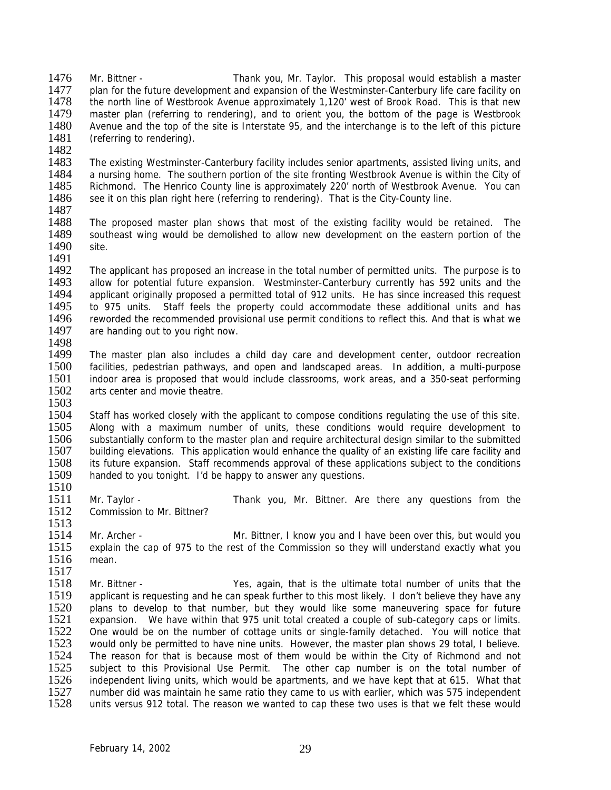1476 Mr. Bittner - Thank you, Mr. Taylor. This proposal would establish a master<br>1477 – plan for the future development and expansion of the Westminster-Canterbury life care facility on 1477 plan for the future development and expansion of the Westminster-Canterbury life care facility on<br>1478 the north line of Westbrook Avenue approximately 1.120' west of Brook Road. This is that new the north line of Westbrook Avenue approximately 1,120' west of Brook Road. This is that new 1479 master plan (referring to rendering), and to orient you, the bottom of the page is Westbrook<br>1480 Avenue and the top of the site is Interstate 95, and the interchange is to the left of this picture 1480 Avenue and the top of the site is Interstate 95, and the interchange is to the left of this picture 1481 (referring to rendering). (referring to rendering).

1482<br>1483

1513

1483 The existing Westminster-Canterbury facility includes senior apartments, assisted living units, and 1484 a nursing home. The southern portion of the site fronting Westbrook Avenue is within the City of 1484 a nursing home. The southern portion of the site fronting Westbrook Avenue is within the City of 1485 Richmond. The Henrico County line is approximately 220' north of Westbrook Avenue. You can 1485 Richmond. The Henrico County line is approximately 220' north of Westbrook Avenue. You can 1486 see it on this plan right here (referring to rendering). That is the City-County line. see it on this plan right here (referring to rendering). That is the City-County line.

- 1487<br>1488 The proposed master plan shows that most of the existing facility would be retained. The 1489 southeast wing would be demolished to allow new development on the eastern portion of the 1490 site.
- 1491<br>1492 The applicant has proposed an increase in the total number of permitted units. The purpose is to 1493 allow for potential future expansion. Westminster-Canterbury currently has 592 units and the 1494 applicant originally proposed a permitted total of 912 units. He has since increased this request 1494 applicant originally proposed a permitted total of 912 units. He has since increased this request 1495 to 975 units. Staff feels the property could accommodate these additional units and has 1495 to 975 units. Staff feels the property could accommodate these additional units and has 1496 reworded the recommended provisional use permit conditions to reflect this. And that is what we 1496 reworded the recommended provisional use permit conditions to reflect this. And that is what we 1497 are handing out to you right now. are handing out to you right now.
- 1498<br>1499 The master plan also includes a child day care and development center, outdoor recreation 1500 facilities, pedestrian pathways, and open and landscaped areas. In addition, a multi-purpose<br>1501 indoor area is proposed that would include classrooms, work areas, and a 350-seat performing 1501 indoor area is proposed that would include classrooms, work areas, and a 350-seat performing 1502 arts center and movie theatre. arts center and movie theatre. 1503
- 1504 Staff has worked closely with the applicant to compose conditions regulating the use of this site. 1505 Along with a maximum number of units, these conditions would require development to 1506 substantially conform to the master plan and require architectural design similar to the submitted 1506 substantially conform to the master plan and require architectural design similar to the submitted<br>1507 building elevations. This application would enhance the quality of an existing life care facility and 1507 building elevations. This application would enhance the quality of an existing life care facility and 1508 its future expansion. Staff recommends approval of these applications subject to the conditions 1508 its future expansion. Staff recommends approval of these applications subject to the conditions 1509 handed to you tonight. I'd be happy to answer any questions. handed to you tonight. I'd be happy to answer any questions.
- 1510<br>1511 Mr. Taylor - Thank you, Mr. Bittner. Are there any questions from the 1512 Commission to Mr. Bittner?
- 1514 Mr. Archer Mr. Bittner, I know you and I have been over this, but would you 1515 explain the cap of 975 to the rest of the Commission so they will understand exactly what you 1516 mean.
- 1517<br>1518 1518 Mr. Bittner - Yes, again, that is the ultimate total number of units that the<br>1519 applicant is requesting and be can speak further to this most likely 1 don't believe they have any 1519 applicant is requesting and he can speak further to this most likely. I don't believe they have any 1520 plans to develop to that number, but they would like some maneuvering space for future 1520 plans to develop to that number, but they would like some maneuvering space for future 1521 expansion. We have within that 975 unit total created a couple of sub-category caps or limits. 1521 expansion. We have within that 975 unit total created a couple of sub-category caps or limits.<br>1522 One would be on the number of cottage units or single-family detached. You will notice that One would be on the number of cottage units or single-family detached. You will notice that 1523 would only be permitted to have nine units. However, the master plan shows 29 total, I believe. 1524 The reason for that is because most of them would be within the City of Richmond and not 1525 subject to this Provisional Use Permit. The other cap number is on the total number of 1526 independent living units, which would be apartments, and we have kept that at 615. What that 1526 independent living units, which would be apartments, and we have kept that at 615. What that 1527 number did was maintain he same ratio they came to us with earlier, which was 575 independent 1527 number did was maintain he same ratio they came to us with earlier, which was 575 independent<br>1528 units versus 912 total. The reason we wanted to cap these two uses is that we felt these would units versus 912 total. The reason we wanted to cap these two uses is that we felt these would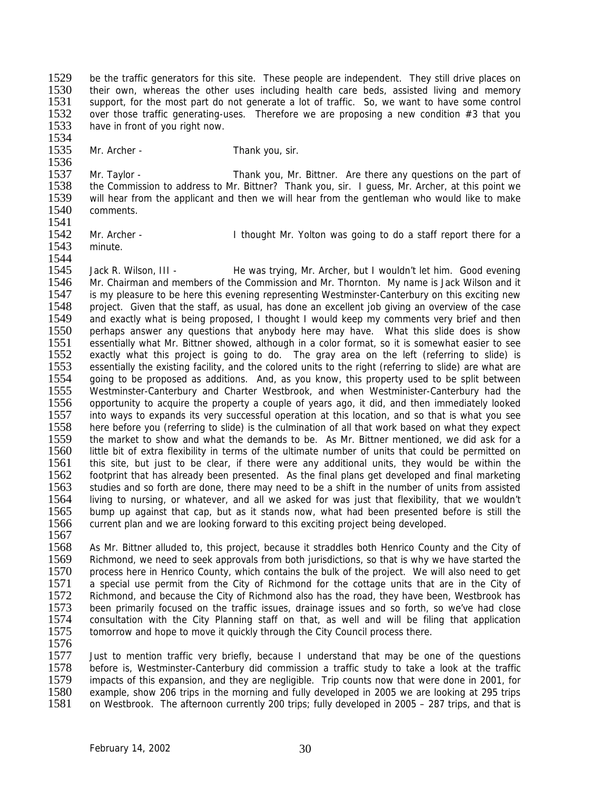1529 be the traffic generators for this site. These people are independent. They still drive places on 1530 their own whereas the other uses including health care beds assisted living and memory 1530 their own, whereas the other uses including health care beds, assisted living and memory<br>1531 support for the most part do not generate a lot of traffic. So, we want to have some control support, for the most part do not generate a lot of traffic. So, we want to have some control 1532 over those traffic generating-uses. Therefore we are proposing a new condition  $#3$  that you 1533 have in front of you right now. have in front of you right now.

1534

1535 Mr. Archer - Thank you, sir.

1536<br>1537 1537 Mr. Taylor - Thank you, Mr. Bittner. Are there any questions on the part of 1538 the Commission to address to Mr. Bittner? Thank you, sir. I quess. Mr. Archer, at this point we 1538 the Commission to address to Mr. Bittner? Thank you, sir. I guess, Mr. Archer, at this point we<br>1539 will hear from the applicant and then we will hear from the gentleman who would like to make 1539 will hear from the applicant and then we will hear from the gentleman who would like to make 1540 comments. comments.

- 1541
- minute.

1542 Mr. Archer - I thought Mr. Yolton was going to do a staff report there for a 1543 minute.

1544<br>1545 Jack R. Wilson, III - He was trying, Mr. Archer, but I wouldn't let him. Good evening 1546 Mr. Chairman and members of the Commission and Mr. Thornton. My name is Jack Wilson and it 1547 is my pleasure to be here this evening representing Westminster-Canterbury on this exciting new 1547 is my pleasure to be here this evening representing Westminster-Canterbury on this exciting new<br>1548 in project. Given that the staff, as usual, has done an excellent job giving an overview of the case 1548 project. Given that the staff, as usual, has done an excellent job giving an overview of the case<br>1549 and exactly what is being proposed. I thought I would keep my comments very brief and then 1549 and exactly what is being proposed, I thought I would keep my comments very brief and then<br>1550 perhaps answer any questions that anybody here may have. What this slide does is show 1550 perhaps answer any questions that anybody here may have. What this slide does is show<br>1551 essentially what Mr. Bittner showed although in a color format so it is somewhat easier to see 1551 essentially what Mr. Bittner showed, although in a color format, so it is somewhat easier to see<br>1552 exactly what this project is going to do. The gray area on the left (referring to slide) is exactly what this project is going to do. The gray area on the left (referring to slide) is 1553 essentially the existing facility, and the colored units to the right (referring to slide) are what are <br>1554 going to be proposed as additions. And, as you know, this property used to be split between going to be proposed as additions. And, as you know, this property used to be split between 1555 Westminster-Canterbury and Charter Westbrook, and when Westminister-Canterbury had the 1556 opportunity to acquire the property a couple of years ago, it did, and then immediately looked 1557 into ways to expands its very successful operation at this location, and so that is what you see 1558 here before you (referring to slide) is the culmination of all that work based on what they expect 1559 the market to show and what the demands to be. As Mr. Bittner mentioned, we did ask for a 1559 the market to show and what the demands to be. As Mr. Bittner mentioned, we did ask for a<br>1560 little bit of extra flexibility in terms of the ultimate number of units that could be permitted on 1560 little bit of extra flexibility in terms of the ultimate number of units that could be permitted on 1561 this site, but just to be clear, if there were any additional units, they would be within the 1561 this site, but just to be clear, if there were any additional units, they would be within the 1562 footprint that has already been presented. As the final plans get developed and final marketing 1562 footprint that has already been presented. As the final plans get developed and final marketing<br>1563 studies and so forth are done, there may need to be a shift in the number of units from assisted 1563 studies and so forth are done, there may need to be a shift in the number of units from assisted<br>1564 living to nursing, or whatever, and all we asked for was just that flexibility, that we wouldn't living to nursing, or whatever, and all we asked for was just that flexibility, that we wouldn't 1565 bump up against that cap, but as it stands now, what had been presented before is still the 1566 current plan and we are looking forward to this exciting project being developed. 1567

1568 As Mr. Bittner alluded to, this project, because it straddles both Henrico County and the City of 1569 Richmond, we need to seek approvals from both jurisdictions, so that is why we have started the 1569 Richmond, we need to seek approvals from both jurisdictions, so that is why we have started the 1570 process here in Henrico County, which contains the bulk of the project. We will also need to get 1570 process here in Henrico County, which contains the bulk of the project. We will also need to get 1571 a special use permit from the City of Richmond for the cottage units that are in the City of 1571 a special use permit from the City of Richmond for the cottage units that are in the City of 1572 Richmond, and because the City of Richmond also has the road, they have been. Westbrook has 1572 Richmond, and because the City of Richmond also has the road, they have been, Westbrook has<br>1573 been primarily focused on the traffic issues, drainage issues and so forth, so we've had close 1573 been primarily focused on the traffic issues, drainage issues and so forth, so we've had close<br>1574 consultation with the City Planning staff on that, as well and will be filing that application 1574 consultation with the City Planning staff on that, as well and will be filing that application 1575 tomorrow and hope to move it quickly through the City Council process there. tomorrow and hope to move it quickly through the City Council process there.

1576

1577 Just to mention traffic very briefly, because I understand that may be one of the questions 1578 before is, Westminster-Canterbury did commission a traffic study to take a look at the traffic<br>1579 impacts of this expansion, and they are negligible. Trip counts now that were done in 2001, for 1579 impacts of this expansion, and they are negligible. Trip counts now that were done in 2001, for<br>1580 example, show 206 trips in the morning and fully developed in 2005 we are looking at 295 trips 1580 example, show 206 trips in the morning and fully developed in 2005 we are looking at 295 trips<br>1581 on Westbrook. The afternoon currently 200 trips: fully developed in 2005 – 287 trips, and that is on Westbrook. The afternoon currently 200 trips; fully developed in 2005 – 287 trips, and that is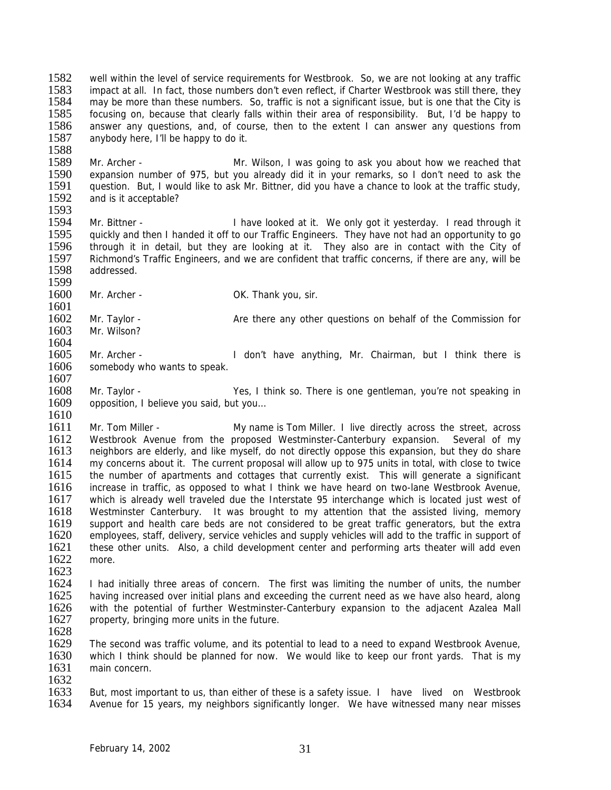1582 well within the level of service requirements for Westbrook. So, we are not looking at any traffic<br>1583 impact at all In fact, those numbers don't even reflect if Charter Westbrook was still there they 1583 impact at all. In fact, those numbers don't even reflect, if Charter Westbrook was still there, they<br>1584 may be more than these numbers. So, traffic is not a significant issue, but is one that the City is may be more than these numbers. So, traffic is not a significant issue, but is one that the City is 1585 focusing on, because that clearly falls within their area of responsibility. But, I'd be happy to 1586 answer any questions, and, of course, then to the extent I can answer any questions from 1586 answer any questions, and, of course, then to the extent I can answer any questions from 1587 anybody here. I'll be happy to do it. anybody here, I'll be happy to do it.

1588<br>1589 1589 Mr. Archer - Mr. Wilson, I was going to ask you about how we reached that 1590 expansion number of 975, but you already did it in your remarks, so I don't need to ask the 1590 expansion number of 975, but you already did it in your remarks, so I don't need to ask the 1591 question. But, I would like to ask Mr. Bittner, did you have a chance to look at the traffic study,<br>1592 and is it acceptable? and is it acceptable?

1593<br>1594 Mr. Bittner - Thave looked at it. We only got it yesterday. I read through it 1595 quickly and then I handed it off to our Traffic Engineers. They have not had an opportunity to go<br>1596 through it in detail, but they are looking at it. They also are in contact with the City of through it in detail, but they are looking at it. They also are in contact with the City of 1597 Richmond's Traffic Engineers, and we are confident that traffic concerns, if there are any, will be 1598 addressed. addressed.

1599<br>1600 Mr. Archer - OK. Thank you, sir.

1601<br>1602 1602 Mr. Taylor - Are there any other questions on behalf of the Commission for 1603 Mr. Wilson? Mr. Wilson?

1604<br>1605 Mr. Archer - The Mon't have anything, Mr. Chairman, but I think there is 1606 somebody who wants to speak.

1607<br>1608 Mr. Taylor - There is one gentleman, you're not speaking in 1609 opposition, I believe you said, but you…

1610

1611 Mr. Tom Miller - My name is Tom Miller. I live directly across the street, across<br>1612 Westbrook Avenue from the proposed Westminster-Canterbury expansion. Several of my 1612 Westbrook Avenue from the proposed Westminster-Canterbury expansion. Several of my<br>1613 neighbors are elderly, and like myself, do not directly oppose this expansion, but they do share 1613 neighbors are elderly, and like myself, do not directly oppose this expansion, but they do share<br>1614 my concerns about it. The current proposal will allow up to 975 units in total, with close to twice 1614 my concerns about it. The current proposal will allow up to 975 units in total, with close to twice 1615 the number of apartments and cottages that currently exist. This will generate a significant 1615 the number of apartments and cottages that currently exist. This will generate a significant 1616 increase in traffic as opposed to what I think we have heard on two-lane Westbrook Avenue. 1616 increase in traffic, as opposed to what I think we have heard on two-lane Westbrook Avenue,<br>1617 which is already well traveled due the Interstate 95 interchange which is located just west of which is already well traveled due the Interstate 95 interchange which is located just west of 1618 Westminster Canterbury. It was brought to my attention that the assisted living, memory 1619 support and health care beds are not considered to be great traffic generators, but the extra 1620 employees, staff, delivery, service vehicles and supply vehicles will add to the traffic in support of 1621 these other units. Also, a child development center and performing arts theater will add even<br>1622 more. more.

1623<br>1624 1624 I had initially three areas of concern. The first was limiting the number of units, the number 1625 having increased over initial plans and exceeding the current need as we have also heard along 1625 having increased over initial plans and exceeding the current need as we have also heard, along 1626 with the potential of further Westminster-Canterbury expansion to the adiacent Azalea Mall 1626 with the potential of further Westminster-Canterbury expansion to the adjacent Azalea Mall 1627 property bringing more units in the future. property, bringing more units in the future.

1628

1629 The second was traffic volume, and its potential to lead to a need to expand Westbrook Avenue, 1630 which I think should be planned for now. We would like to keep our front yards. That is my 1631 main concern.

1632<br>1633

1633 But, most important to us, than either of these is a safety issue. I have lived on Westbrook<br>1634 Avenue for 15 years, my neighbors significantly longer. We have witnessed many near misses Avenue for 15 years, my neighbors significantly longer. We have witnessed many near misses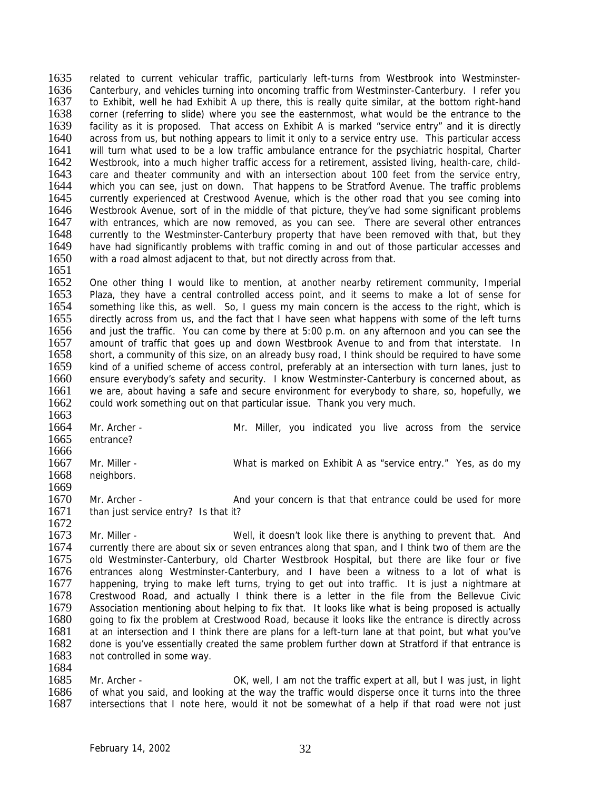1635 related to current vehicular traffic, particularly left-turns from Westbrook into Westminster-<br>1636 Canterbury and vehicles turning into oncoming traffic from Westminster-Canterbury Litefer you 1636 Canterbury, and vehicles turning into oncoming traffic from Westminster-Canterbury. I refer you<br>1637 to Exhibit, well he had Exhibit A up there, this is really quite similar, at the bottom right-hand to Exhibit, well he had Exhibit A up there, this is really quite similar, at the bottom right-hand 1638 corner (referring to slide) where you see the easternmost, what would be the entrance to the 1639 facility as it is proposed. That access on Exhibit A is marked "service entry" and it is directly 1639 facility as it is proposed. That access on Exhibit A is marked "service entry" and it is directly 1640 across from us, but nothing appears to limit it only to a service entry use. This particular access across from us, but nothing appears to limit it only to a service entry use. This particular access 1641 will turn what used to be a low traffic ambulance entrance for the psychiatric hospital, Charter 1642 Westbrook, into a much higher traffic access for a retirement, assisted living, health-care, child-1642 Westbrook, into a much higher traffic access for a retirement, assisted living, health-care, child-<br>1643 care and theater community and with an intersection about 100 feet from the service entry. 1643 care and theater community and with an intersection about 100 feet from the service entry,<br>1644 vhich vou can see, just on down. That happens to be Stratford Avenue. The traffic problems 1644 which you can see, just on down. That happens to be Stratford Avenue. The traffic problems<br>1645 currently experienced at Crestwood Avenue, which is the other road that you see coming into 1645 currently experienced at Crestwood Avenue, which is the other road that you see coming into 1646 Westbrook Avenue, sort of in the middle of that picture, they've had some significant problems 1646 Westbrook Avenue, sort of in the middle of that picture, they've had some significant problems<br>1647 with entrances, which are now removed, as you can see. There are several other entrances with entrances, which are now removed, as you can see. There are several other entrances 1648 currently to the Westminster-Canterbury property that have been removed with that, but they<br>1649 have had significantly problems with traffic coming in and out of those particular accesses and have had significantly problems with traffic coming in and out of those particular accesses and 1650 with a road almost adjacent to that, but not directly across from that. 1651

1652 One other thing I would like to mention, at another nearby retirement community, Imperial 1653 Plaza, they have a central controlled access point, and it seems to make a lot of sense for 1653 Plaza, they have a central controlled access point, and it seems to make a lot of sense for 1654 something like this, as well. So, I quess my main concern is the access to the right, which is 1654 something like this, as well. So, I guess my main concern is the access to the right, which is 1655 directly across from us, and the fact that I have seen what happens with some of the left turns 1655 directly across from us, and the fact that I have seen what happens with some of the left turns<br>1656 and just the traffic. You can come by there at 5:00 p.m. on any afternoon and you can see the 1656 and just the traffic. You can come by there at 5:00 p.m. on any afternoon and you can see the 1657 amount of traffic that goes up and down Westbrook Avenue to and from that interstate. In 1657 amount of traffic that goes up and down Westbrook Avenue to and from that interstate. In 1658 short, a community of this size, on an already busy road. I think should be required to have some short, a community of this size, on an already busy road, I think should be required to have some 1659 kind of a unified scheme of access control, preferably at an intersection with turn lanes, just to 1660 ensure everybody's safety and security. I know Westminster-Canterbury is concerned about, as 1661 we are, about having a safe and secure environment for everybody to share, so, hopefully, we 1662 could work something out on that particular issue. Thank you very much.

1663 1664 Mr. Archer - Mr. Miller, you indicated you live across from the service 1665 entrance? entrance? 1666<br>1667 1667 Mr. Miller - What is marked on Exhibit A as "service entry." Yes, as do my<br>1668 – neighbors neighbors. 1669<br>1670 Mr. Archer - The And your concern is that that entrance could be used for more 1671 than just service entry? Is that it? 1672

1673 Mr. Miller - Well, it doesn't look like there is anything to prevent that. And 1674 currently there are about six or seven entrances along that span, and I think two of them are the 1675 old Westminster-Canterbury, old Charter Westbrook Hospital, but there are like four or five 1675 old Westminster-Canterbury, old Charter Westbrook Hospital, but there are like four or five<br>1676 entrances along Westminster-Canterbury, and I have been a witness to a lot of what is 1676 entrances along Westminster-Canterbury, and I have been a witness to a lot of what is 1677 happening, trying to make left turns, trying to get out into traffic. It is just a nightmare at happening, trying to make left turns, trying to get out into traffic. It is just a nightmare at 1678 Crestwood Road, and actually I think there is a letter in the file from the Bellevue Civic<br>1679 Association mentioning about helping to fix that. It looks like what is being proposed is actually 1679 Association mentioning about helping to fix that. It looks like what is being proposed is actually 1680 acing to fix the problem at Crestwood Road, because it looks like the entrance is directly across 1680 going to fix the problem at Crestwood Road, because it looks like the entrance is directly across 1681 at an intersection and I think there are plans for a left-turn lane at that point, but what you've at an intersection and I think there are plans for a left-turn lane at that point, but what you've 1682 done is you've essentially created the same problem further down at Stratford if that entrance is 1683 not controlled in some way.

1684<br>1685 1685 Mr. Archer - OK, well, I am not the traffic expert at all, but I was just, in light 1686 of what you said, and looking at the way the traffic would disperse once it turns into the three 1686 of what you said, and looking at the way the traffic would disperse once it turns into the three 1687 intersections that I note here, would it not be somewhat of a help if that road were not just intersections that I note here, would it not be somewhat of a help if that road were not just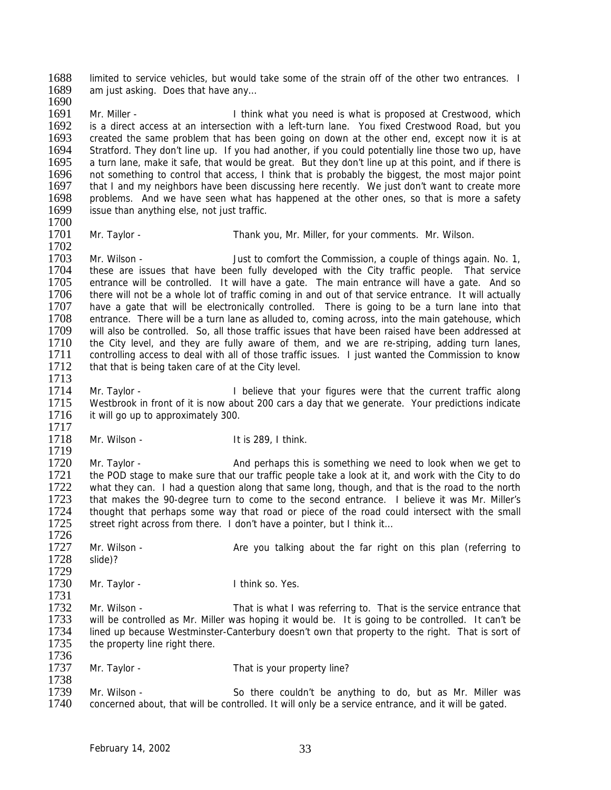1688 limited to service vehicles, but would take some of the strain off of the other two entrances. I<br>1689 am just asking Does that have any am just asking. Does that have any... 1690

1691 Mr. Miller - I think what you need is what is proposed at Crestwood, which<br>1692 is a direct access at an intersection with a left-turn lane. You fixed Crestwood Road, but you 1692 is a direct access at an intersection with a left-turn lane. You fixed Crestwood Road, but you<br>1693 created the same problem that has been going on down at the other end, except now it is at created the same problem that has been going on down at the other end, except now it is at 1694 Stratford. They don't line up. If you had another, if you could potentially line those two up, have 1695 a turn lane, make it safe, that would be great. But they don't line up at this point, and if there is a turn lane, make it safe, that would be great. But they don't line up at this point, and if there is 1696 not something to control that access, I think that is probably the biggest, the most major point 1697 that I and my neighbors have been discussing here recently. We just don't want to create more 1697 that I and my neighbors have been discussing here recently. We just don't want to create more<br>1698 problems. And we have seen what has happened at the other ones, so that is more a safety 1698 problems. And we have seen what has happened at the other ones, so that is more a safety 1699 issue than anything else, not just traffic. issue than anything else, not just traffic. 1700

1701 Mr. Taylor - Thank you, Mr. Miller, for your comments. Mr. Wilson.

1702<br>1703 Mr. Wilson - Just to comfort the Commission, a couple of things again. No. 1, 1704 these are issues that have been fully developed with the City traffic people. That service 1705 entrance will be controlled. It will have a gate. The main entrance will have a gate. And so 1706 there will not be a whole lot of traffic coming in and out of that service entrance. It will actually 1706 there will not be a whole lot of traffic coming in and out of that service entrance. It will actually 1707 have a gate that will be electronically controlled. There is going to be a turn lane into that 1707 have a gate that will be electronically controlled. There is going to be a turn lane into that 1708 entrance. There will be a turn lane as alluded to, coming across, into the main gate house, which 1708 entrance. There will be a turn lane as alluded to, coming across, into the main gatehouse, which<br>1709 will also be controlled. So, all those traffic issues that have been raised have been addressed at 1709 will also be controlled. So, all those traffic issues that have been raised have been addressed at 1710 the City level, and they are fully aware of them, and we are re-striping, adding turn lanes, the City level, and they are fully aware of them, and we are re-striping, adding turn lanes, 1711 controlling access to deal with all of those traffic issues. I just wanted the Commission to know 1712 that that is being taken care of at the City level. 1713

- 1714 Mr. Taylor I believe that your figures were that the current traffic along 1715 Westbrook in front of it is now about 200 cars a day that we generate. Your predictions indicate 1716 it will go up to approximately 300.
- 1717<br>1718 Mr. Wilson - The Music Control of the U.S. 289, I think.

1719<br>1720 1720 Mr. Taylor - And perhaps this is something we need to look when we get to 1721 the POD stage to make sure that our traffic people take a look at it, and work with the City to do 1722 what they can. I had a question along that same long, though, and that is the road to the north 1722 what they can. I had a question along that same long, though, and that is the road to the north 1723 that makes the 90-degree turn to come to the second entrance. I believe it was Mr. Miller's that makes the 90-degree turn to come to the second entrance. I believe it was Mr. Miller's 1724 thought that perhaps some way that road or piece of the road could intersect with the small 1725 street right across from there. I don't have a pointer, but I think it...

- 1727 Mr. Wilson Are you talking about the far right on this plan (referring to 1728 slide)? slide)?
- 1729<br>1730 Mr. Taylor - Think so. Yes.

1731<br>1732 1732 Mr. Wilson - That is what I was referring to. That is the service entrance that 1733 will be controlled as Mr. Miller was hoping it would be. It is going to be controlled. It can't be 1733 will be controlled as Mr. Miller was hoping it would be. It is going to be controlled. It can't be 1734 lined up because Westminster-Canterbury doesn't own that property to the right. That is sort of lined up because Westminster-Canterbury doesn't own that property to the right. That is sort of 1735 the property line right there.

1737 Mr. Taylor - That is your property line?

1738<br>1739 1739 Mr. Wilson - So there couldn't be anything to do, but as Mr. Miller was<br>1740 concerned about, that will be controlled. It will only be a service entrance, and it will be gated. concerned about, that will be controlled. It will only be a service entrance, and it will be gated.

1726

1736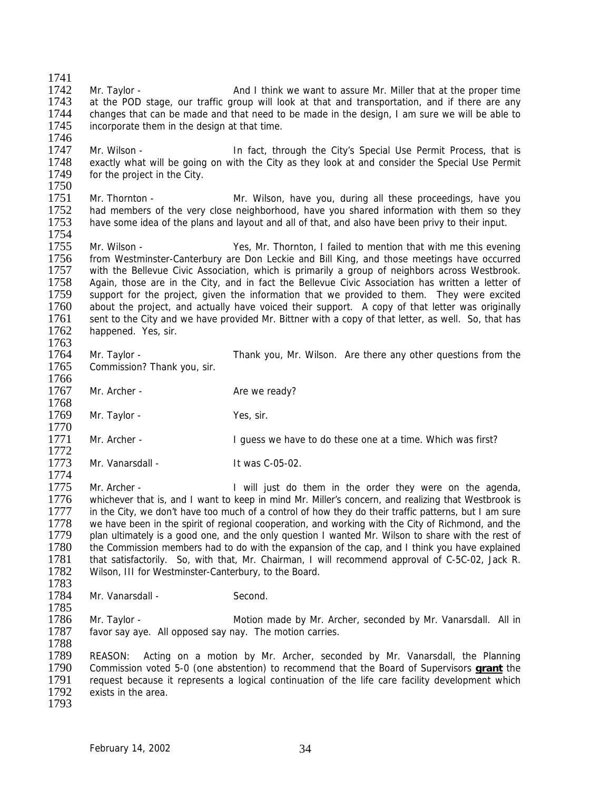1741<br>1742 1742 Mr. Taylor - And I think we want to assure Mr. Miller that at the proper time<br>1743 at the POD stage, our traffic group will look at that and transportation, and if there are any at the POD stage, our traffic group will look at that and transportation, and if there are any 1744 changes that can be made and that need to be made in the design, I am sure we will be able to 1745 incorporate them in the design at that time. incorporate them in the design at that time. 1746 1747 Mr. Wilson - In fact, through the City's Special Use Permit Process, that is<br>1748 exactly what will be going on with the City as they look at and consider the Special Use Permit 1748 exactly what will be going on with the City as they look at and consider the Special Use Permit 1749 for the project in the City. for the project in the City. 1750<br>1751 1751 Mr. Thornton - Mr. Wilson, have you, during all these proceedings, have you<br>1752 had members of the very close neighborhood, have you shared information with them so they 1752 had members of the very close neighborhood, have you shared information with them so they<br>1753 have some idea of the plans and lavout and all of that, and also have been privy to their input. have some idea of the plans and layout and all of that, and also have been privy to their input. 1754<br>1755 Mr. Wilson - Yes, Mr. Thornton, I failed to mention that with me this evening 1756 from Westminster-Canterbury are Don Leckie and Bill King, and those meetings have occurred 1757 with the Bellevue Civic Association, which is primarily a group of neighbors across Westbrook. 1758 Again, those are in the City, and in fact the Bellevue Civic Association has written a letter of 1759 support for the project, given the information that we provided to them. They were excited 1759 support for the project, given the information that we provided to them. They were excited 1760 about the project, and actually have voiced their support. A copy of that letter was originally 1760 about the project, and actually have voiced their support. A copy of that letter was originally 1761 sent to the City and we have provided Mr. Bittner with a copy of that letter, as well. So, that has 1761 sent to the City and we have provided Mr. Bittner with a copy of that letter, as well. So, that has 1762 happened. Yes, sir. happened. Yes, sir. 1763<br>1764 1764 Mr. Taylor - Thank you, Mr. Wilson. Are there any other questions from the 1765 Commission? Thank you, sir. 1766 1767 Mr. Archer - Are we ready? 1768 1769 Mr. Taylor - Yes, sir. 1770<br>1771 Mr. Archer - **I** guess we have to do these one at a time. Which was first? 1772<br>1773 Mr. Vanarsdall - It was C-05-02. 1774 1775 Mr. Archer - I will just do them in the order they were on the agenda,<br>1776 whichever that is, and I want to keep in mind Mr. Miller's concern, and realizing that Westbrook is whichever that is, and I want to keep in mind Mr. Miller's concern, and realizing that Westbrook is 1777 in the City, we don't have too much of a control of how they do their traffic patterns, but I am sure 1778 we have been in the spirit of regional cooperation, and working with the City of Richmond, and the 1779 plan ultimately is a good one, and the only question I wanted Mr. Wilson to share with the rest of 1780 the Commission members had to do with the expansion of the cap, and I think you have explained 1781 that satisfactorily. So, with that, Mr. Chairman, I will recommend approval of C-5C-02, Jack R. 1781 that satisfactorily. So, with that, Mr. Chairman, I will recommend approval of C-5C-02, Jack R.<br>1782 Wilson, III for Westminster-Canterbury, to the Board. Wilson, III for Westminster-Canterbury, to the Board. 1783<br>1784 Mr. Vanarsdall - Second. 1785<br>1786 1786 Mr. Taylor - Motion made by Mr. Archer, seconded by Mr. Vanarsdall. All in 1787 favor say aye. All opposed say nay. The motion carries. favor say aye. All opposed say nay. The motion carries. 1788 1789 REASON: Acting on a motion by Mr. Archer, seconded by Mr. Vanarsdall, the Planning 1790 Commission voted 5-0 (one abstention) to recommend that the Board of Supervisors **grant** the 1791 request because it represents a logical continuation of the life care facility development which 1792 exists in the area. exists in the area. 1793